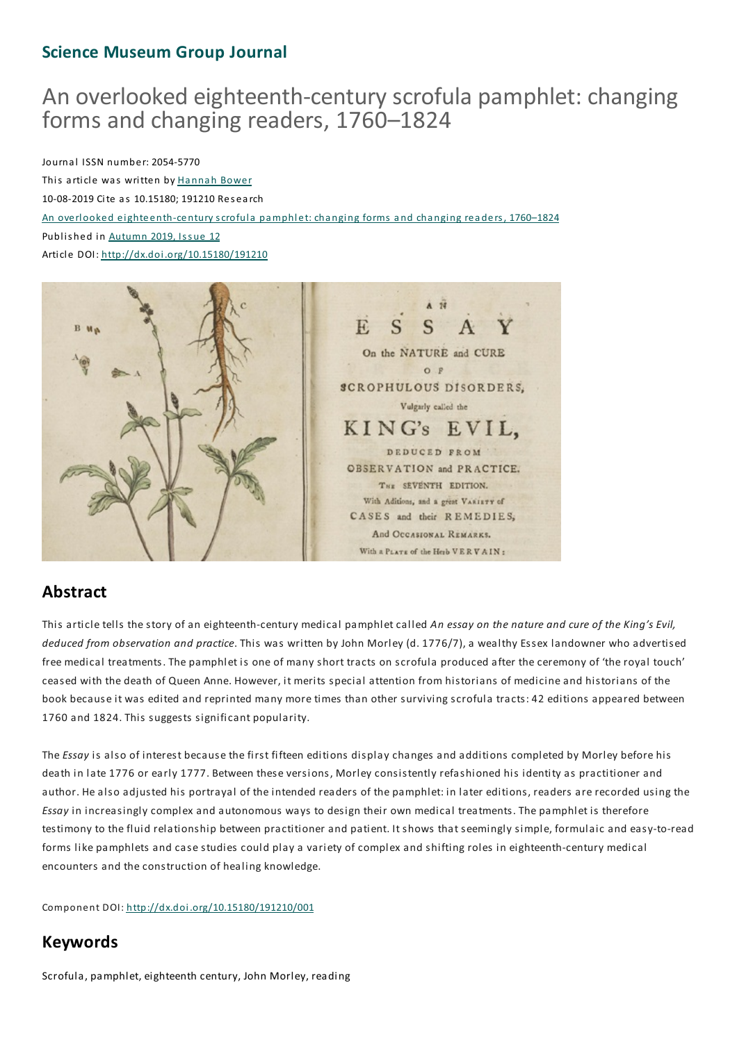## **Science Museum Group Journal**

## An overlooked eighteenth-centuryscrofula pamphlet: changing forms and changing readers, 1760–1824

Journal ISSN number: 2054-5770

This article was written by Hannah Bower 10-08-2019 Cite as 10.15180; 191210 Res earch An overlooked eighteenth-century scrofula pamphlet: cha nging forms a nd cha nging rea ders, 1760–1824 Published in Autumn 2019, Issue 12 Article DOI: http://dx.doi.org/10.15180/191210



## **Abstract**

This article tells the story of an eighteenth-century medical pamphlet called *An essay on the nature and cure of the King's Evil, deduced from observation and practice*.This was written by John Morley (d. 1776/7), a wealthy Essex landowner who advertised free medical treatments.The pamphlet is one of many short tracts on scrofula produced after the ceremony of 'the royal touch' ceased with the death of Queen Anne. However, it merits special attention from historians of medicine and historians of the book because it was edited and reprinted many more times than other surviving scrofula tracts: 42 editions appeared between 1760 and 1824.This suggests significant popularity.

The *Essay* is also of interest because the first fifteen editions display changes and additions completed by Morley before his death in late 1776 or early 1777. Between these versions, Morley consistently refashioned his identity as practitioner and author. He also adjusted his portrayal of the intended readers of the pamphlet: in later editions, readers are recorded using the *Essay* in increasingly complex and autonomous ways to design their own medical treatments.The pamphlet is therefore testimony to the fluid relationship between practitioner and patient. It shows that seemingly simple, formulaic and easy-to-read forms like pamphlets and case studies could play a variety of complex and shifting roles in eighteenth-century medical encounters and the construction of healing knowledge.

Component DOI: http://dx.doi.org/10.15180/191210/001

## **Keywords**

Scrofula, pamphlet, eighteenth century, John Morley, reading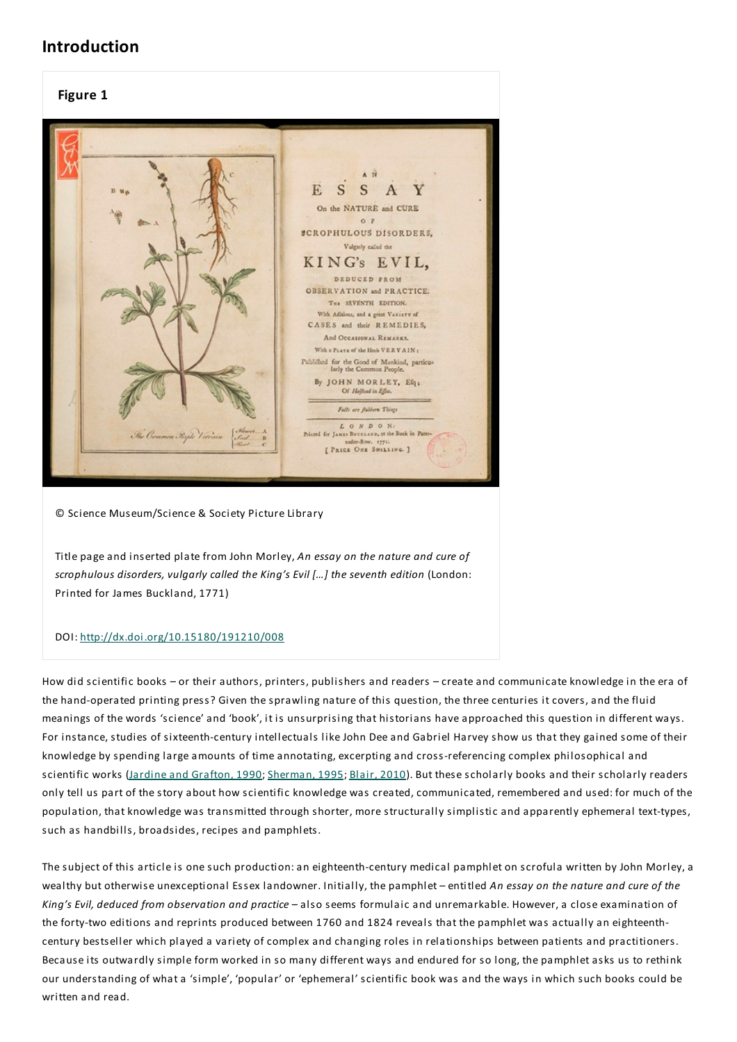## **Introduction**

#### **Figure 1**



© Science Museum/Science & Society Picture Library

Title page and inserted plate from John Morley, *An essay on the nature and cure of scrophulous disorders, vulgarly called the King's Evil […] the seventh edition* (London: Printed for James Buckland, 1771)

#### DOI: http://dx.doi.org/10.15180/191210/008

How did scientific books – or their authors, printers, publishers and readers – create and communicate knowledge in the era of the hand-operated printing press? Given the sprawling nature of this question, the three centuries it covers, and the fluid meanings of the words 'science' and 'book', it is unsurprising that historians have approached this question in different ways. For instance, studies of sixteenth-century intellectuals like John Dee and Gabriel Harvey show us that they gained some of their knowledge by spending large amounts of time annotating, excerpting and cross-referencing complex philosophical and scientific works (Jardine and Grafton, 1990; Sherman, 1995; Blair, 2010). But these scholarly books and their scholarly readers only tell us part of the story about how scientific knowledge was created, communicated, remembered and used: for much of the population, that knowledge was transmitted through shorter, more structurally simplistic and apparently ephemeral text-types, such as handbills, broadsides, recipes and pamphlets.

The subject of this article is one such production:an eighteenth-century medical pamphlet on scrofula written by John Morley, a wealthy but otherwise unexceptional Essex landowner. Initially, the pamphlet – entitled *An essay on the nature and cure of the King's Evil, deduced from observation and practice* – also seems formulaic and unremarkable. However, a close examination of the forty-two editions and reprints produced between 1760 and 1824 reveals that the pamphlet was actually an eighteenthcentury bestseller which played a variety of complex and changing roles in relationships between patients and practitioners. Because its outwardly simple form worked in so many different ways and endured for so long, the pamphlet asks us to rethink our understanding of what a 'simple', 'popular' or 'ephemeral' scientific book was and the ways in which such books could be written and read.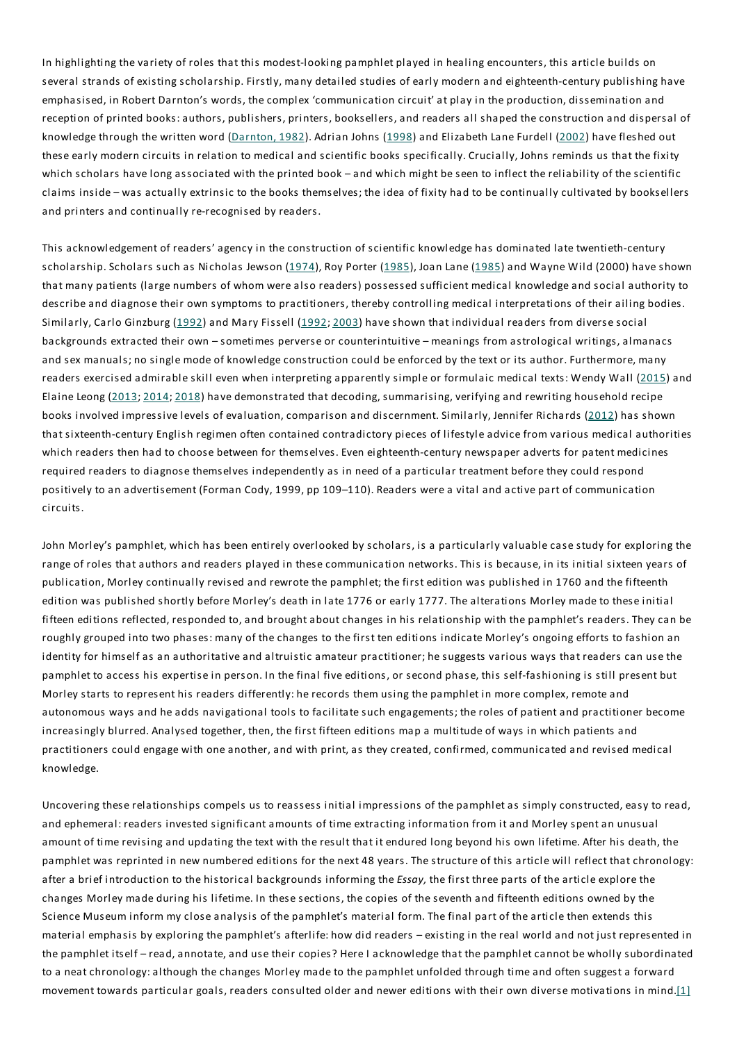In highlighting the variety of roles that this modest-looking pamphlet played in healing encounters, this article builds on several strands of existing scholarship. Firstly, many detailed studies of early modern and eighteenth-century publishing have emphasised, in Robert Darnton's words, the complex 'communication circuit' at play in the production, dissemination and reception of printed books: authors, publishers, printers, booksellers, and readers all shaped the construction and dispersal of knowledge through the written word (Darnton, 1982). Adrian Johns (1998) and Elizabeth Lane Furdell (2002) have fleshed out these early modern circuits in relation to medical and scientific books specifically. Crucially, Johns reminds us that the fixity which scholars have long associated with the printed book – and which might be seen to inflect the reliability of the scientific claims inside – was actually extrinsic to the books themselves; the idea of fixity had to be continually cultivated by booksellers and printers and continually re-recognised by readers.

This acknowledgement of readers' agency in the construction of scientific knowledge has dominated late twentieth-century scholarship. Scholars such as Nicholas Jewson (1974), Roy Porter (1985), Joan Lane (1985) and Wayne Wild (2000) have shown that many patients (large numbers of whom were also readers) possessed sufficient medical knowledge and social authority to describe and diagnose their own symptoms to practitioners, thereby controlling medical interpretations of their ailing bodies. Similarly, Carlo Ginzburg (1992) and Mary Fissell (1992; 2003) have shown that individual readers from diverse social backgrounds extracted their own – sometimes perverse or counterintuitive – meanings from astrological writings, almanacs and sex manuals; no single mode of knowledge construction could be enforced by the text or its author. Furthermore, many readers exercised admirable skill even when interpreting apparently simple or formulaic medical texts: Wendy Wall (2015) and Elaine Leong (2013; 2014; 2018) have demonstrated that decoding, summarising, verifying and rewriting household recipe books involved impressive levels of evaluation, comparison and discernment. Similarly, Jennifer Richards (2012) has shown that sixteenth-century English regimen often contained contradictory pieces of lifestyle advice from various medical authorities which readers then had to choose between for themselves. Even eighteenth-century newspaper adverts for patent medicines required readers to diagnose themselves independently as in need of a particular treatment before they could respond positively to an advertisement (Forman Cody, 1999, pp 109–110). Readers were a vital and active part of communication circuits.

John Morley's pamphlet, which has been entirely overlooked by scholars, is a particularly valuable case study for exploring the range of roles that authors and readers played in these communication networks.This is because, in its initial sixteen years of publication, Morley continually revised and rewrote the pamphlet; the first edition was published in 1760 and the fifteenth edition was published shortly before Morley's death in late 1776 or early 1777.The alterations Morley made to these initial fifteen editions reflected, responded to, and brought about changes in his relationship with the pamphlet's readers.They can be roughly grouped into two phases: many of the changes to the first ten editions indicate Morley's ongoing efforts to fashion an identity for himself as an authoritative and altruistic amateur practitioner; he suggests various ways that readers can use the pamphlet to access his expertise in person. In the final five editions, or second phase, this self-fashioning is still present but Morley starts to represent his readers differently: he records them using the pamphlet in more complex, remote and autonomous ways and he adds navigational tools to facilitate such engagements; the roles of patient and practitioner become increasingly blurred. Analysed together, then, the first fifteen editions map a multitude of ways in which patients and practitioners could engage with one another, and with print, as they created, confirmed, communicated and revised medical knowledge.

Uncovering these relationships compels us to reassess initial impressions of the pamphlet as simply constructed, easy to read, and ephemeral: readers invested significant amounts of time extracting information from it and Morley spent an unusual amount of time revising and updating the text with the result that it endured long beyond his own lifetime. After his death, the pamphlet was reprinted in new numbered editions for the next 48 years.The structure of this article will reflect that chronology: after a brief introduction to the historical backgrounds informing the *Essay,* the first three parts of the article explore the changes Morley made during his lifetime. In these sections, the copies of the seventh and fifteenth editions owned by the Science Museum inform my close analysis of the pamphlet's material form.The final part of the article then extends this material emphasis by exploring the pamphlet's afterlife: how did readers – existing in the real world and not just represented in the pamphlet itself – read, annotate, and use their copies? Here I acknowledge that the pamphlet cannot be wholly subordinated to a neat chronology:although the changes Morley made to the pamphlet unfolded through time and often suggest a forward movement towards particular goals, readers consulted older and newer editions with their own diverse motivations in mind. $[1]$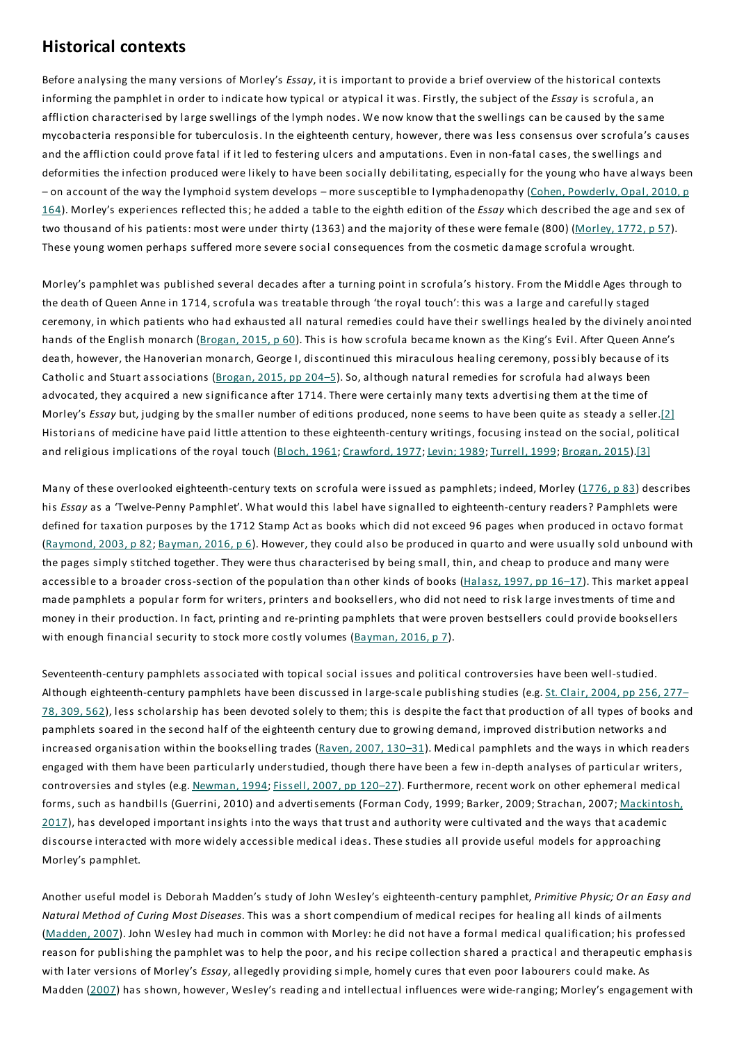## **Historical contexts**

Before analysing the many versions of Morley's *Essay*, it is important to provide a brief overview of the historical contexts informing the pamphlet in order to indicate how typical or atypical it was. Firstly, the subject of the *Essay* is scrofula, an affliction characterised by large swellings of the lymph nodes. We now know that the swellings can be caused by the same mycobacteria responsible for tuberculosis. In the eighteenth century, however, there was less consensus over scrofula's causes and the affliction could prove fatal if it led to festering ulcers and amputations.Even in non-fatal cases, the swellings and deformities the infection produced were likely to have been socially debilitating, especially for the young who have always been – on account of the way the lymphoid system develops – more susceptible to lymphadenopathy (Cohen, Powderly, Opal, 2010, p 164). Morley's experiences reflected this; he added a table to the eighth edition of the *Essay* which described the age and sex of two thousand of his patients: most were under thirty (1363) and the majority of these were female (800) (Morley, 1772, p 57). These young women perhaps suffered more severe social consequences from the cosmetic damage scrofula wrought.

Morley's pamphlet was published several decades after a turning point in scrofula's history. From the Middle Ages through to the death of Queen Anne in 1714, scrofula was treatable through 'the royal touch': this was a large and carefully staged ceremony, in which patients who had exhausted all natural remedies could have their swellings healed by the divinely anointed hands of the English monarch (Brogan, 2015, p 60). This is how scrofula became known as the King's Evil. After Queen Anne's death, however, the Hanoverian monarch, George I, discontinued this miraculous healing ceremony, possibly because of its Catholic and Stuart associations (Brogan, 2015, pp 204–5). So, although natural remedies for scrofula had always been advocated, they acquired a new significance after 1714. There were certainly many texts advertising them at the time of Morley's *Essay* but, judging by the smaller number of editions produced, none seems to have been quite as steady a seller.[2] Historians of medicine have paid little attention to these eighteenth-century writings, focusing instead on the social, political and religious implications of the royal touch (Bloch, 1961; Crawford, 1977; Levin; 1989; Turrell, 1999; Brogan, 2015).[3]

Many of these overlooked eighteenth-century texts on scrofula were issued as pamphlets; indeed, Morley (1776, p 83) describes his *Essay* as a 'Twelve-Penny Pamphlet'. What would this label have signalled to eighteenth-century readers? Pamphlets were defined for taxation purposes by the 1712 Stamp Act as books which did not exceed 96 pages when produced in octavo format (Raymond, 2003, p 82; Bayman, 2016, p 6). However, they could also be produced in quarto and were usually sold unbound with the pages simply stitched together.They were thus characterised by being small, thin, and cheap to produce and many were accessible to a broader cross-section of the population than other kinds of books  $(Halasz, 1997, pp 16–17)$ . This market appeal made pamphlets a popular form for writers, printers and booksellers, who did not need to risk large investments of time and money in their production. In fact, printing and re-printing pamphlets that were proven bestsellers could provide booksellers with enough financial security to stock more costly volumes ( $Bayman, 2016, p$  ).

Seventeenth-century pamphlets associated with topical social issues and political controversies have been well-studied. Although eighteenth-century pamphlets have been discussed in large-scale publishing studies (e.g. St. Clair, 2004, pp 256, 277– 78, 309, 562), less scholarship has been devoted solely to them; this is despite the fact that production of all types of books and pamphlets soared in the second half of the eighteenth century due to growing demand, improved distribution networks and increased organisation within the bookselling trades  $(Raven 2007, 130-31)$ . Medical pamphlets and the ways in which readers engaged with them have been particularly understudied, though there have been a few in-depth analyses of particular writers, controversies and styles (e.g. Newman, 1994; Fissell, 2007, pp 120-27). Furthermore, recent work on other ephemeral medical forms, such as handbills (Guerrini, 2010) and advertisements (Forman Cody, 1999; Barker, 2009; Strachan, 2007; Mackintosh, 2017), has developed important insights into the ways that trust and authority were cultivated and the ways that academic discourse interacted with more widely accessible medical ideas. These studies all provide useful models for approaching Morley's pamphlet.

Another useful model is Deborah Madden's study of John Wesley's eighteenth-century pamphlet, *Primitive Physic; Or an Easy and Natural Method of Curing Most Diseases*.This was a short compendium of medical recipes for healing all kinds of ailments (Madden, 2007). John Wesley had much in common with Morley: he did not have a formal medical qualification; his professed reason for publishing the pamphlet was to help the poor, and his recipe collection shared a practical and therapeutic emphasis with later versions of Morley's *Essay*, allegedly providing simple, homely cures that even poor labourers could make. As Madden (2007) has shown, however, Wesley's reading and intellectual influences were wide-ranging; Morley's engagement with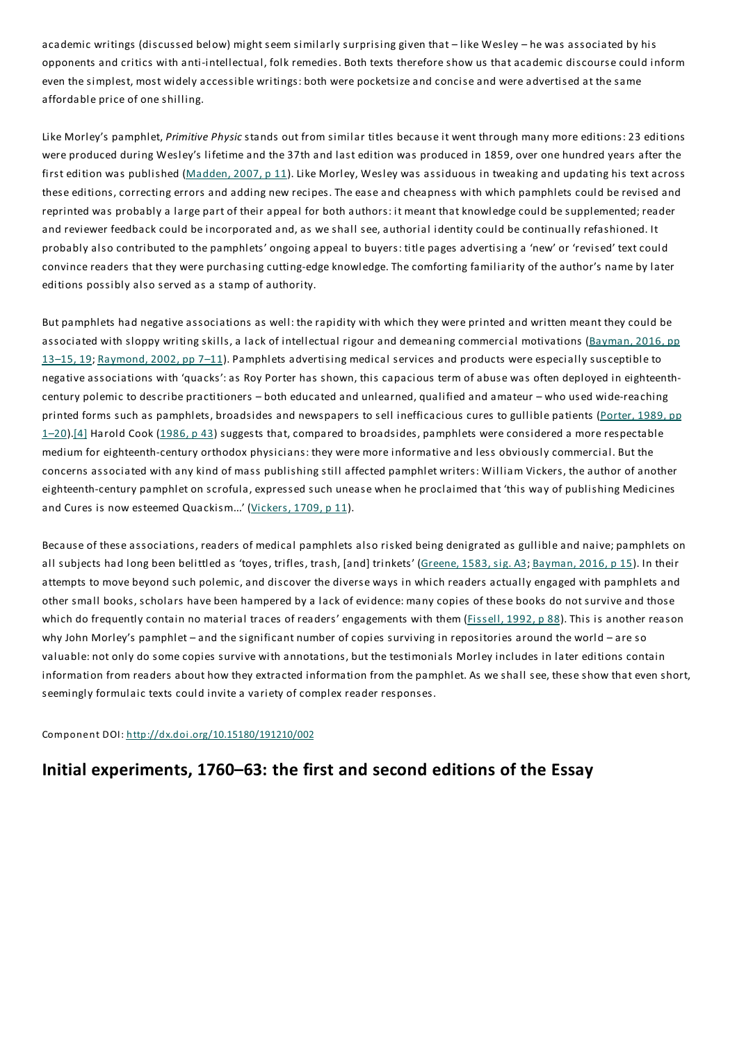academic writings (discussed below) might seem similarly surprising given that – like Wesley – he was associated by his opponents and critics with anti-intellectual, folk remedies. Both texts therefore show us that academic discourse could inform even the simplest, most widely accessible writings: both were pocketsize and concise and were advertised at the same affordable price of one shilling.

Like Morley's pamphlet, *Primitive Physic* stands out from similar titles because it went through many more editions: 23 editions were produced during Wesley's lifetime and the 37th and last edition was produced in 1859, over one hundred years after the first edition was published (Madden, 2007, p 11). Like Morley, Wesley was assiduous in tweaking and updating his text across these editions, correcting errors and adding new recipes.The ease and cheapness with which pamphlets could be revised and reprinted was probably a large part of their appeal for both authors: it meant that knowledge could be supplemented; reader and reviewer feedback could be incorporated and, as we shall see, authorial identity could be continually refashioned. It probably also contributed to the pamphlets' ongoing appeal to buyers: title pages advertising a 'new' or 'revised' text could convince readers that they were purchasing cutting-edge knowledge. The comforting familiarity of the author's name by later editions possibly also served as a stamp of authority.

But pamphlets had negative associations as well: the rapidity with which they were printed and written meant they could be associated with sloppy writing skills, a lack of intellectual rigour and demeaning commercial motivations (Bayman, 2016, pp 13–15, 19; Raymond, 2002, pp 7–11). Pamphlets advertising medical services and products were especially susceptible to negative associations with 'quacks':as Roy Porter has shown, this capacious term of abuse was often deployed in eighteenthcentury polemic to describe practitioners – both educated and unlearned, qualified and amateur – who used wide-reaching printed forms such as pamphlets, broadsides and newspapers to sell inefficacious cures to gullible patients (Porter, 1989, pp 1–20).[4] Harold Cook (1986, p 43) suggests that, compared to broadsides, pamphlets were considered a more respectable medium for eighteenth-century orthodox physicians: they were more informative and less obviously commercial. But the concerns associated with any kind of mass publishing still affected pamphlet writers: William Vickers, the author of another eighteenth-century pamphlet on scrofula, expressed such unease when he proclaimed that 'this way of publishing Medicines and Cures is now esteemed Quackism...' (Vickers, 1709, p 11).

Because of these associations, readers of medical pamphlets also risked being denigrated as gullible and naive; pamphlets on all subjects had long been belittled as 'toyes, trifles, trash, [and] trinkets' (Greene, 1583, sig. A3; Bayman, 2016, p 15). In their attempts to move beyond such polemic, and discover the diverse ways in which readers actually engaged with pamphlets and other small books, scholars have been hampered by a lack of evidence: many copies of these books do not survive and those which do frequently contain no material traces of readers' engagements with them (Fissell, 1992, p 88). This is another reason why John Morley's pamphlet – and the significant number of copies surviving in repositories around the world – are so valuable: not only do some copies survive with annotations, but the testimonials Morley includes in later editions contain information from readers about how they extracted information from the pamphlet. As we shall see, these show that even short, seemingly formulaic texts could invite a variety of complex reader responses.

Component DOI: http://dx.doi.org/10.15180/191210/002

## **Initial experiments, 1760–63: the first and second editions of the Essay**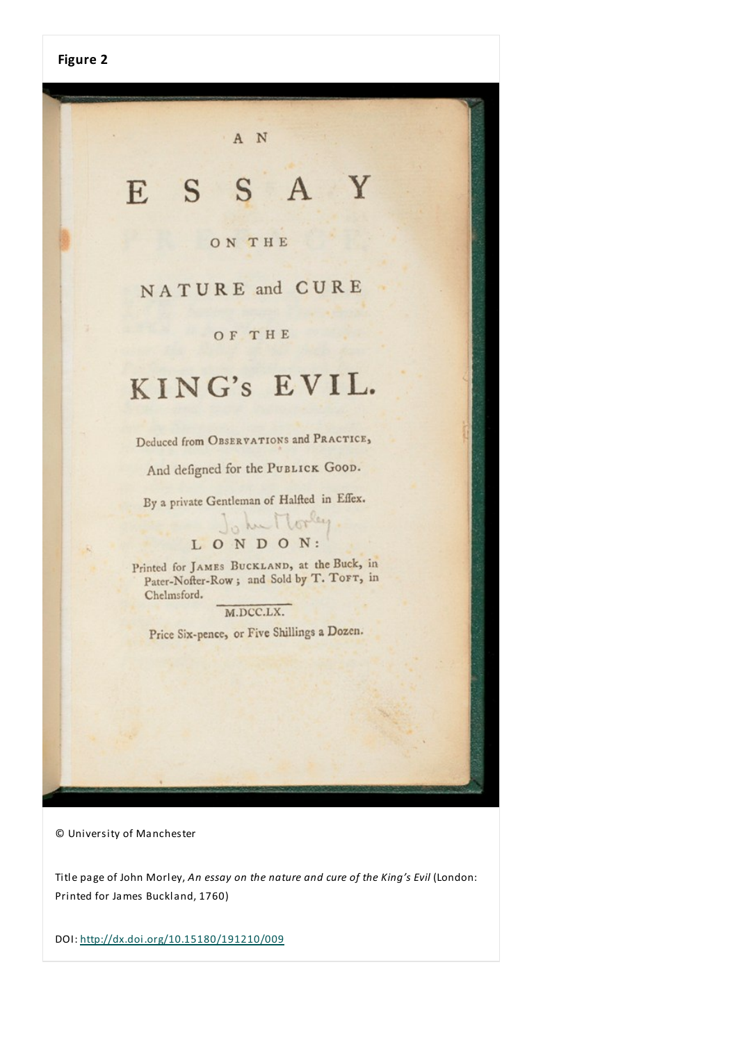# ESSAY

A N

#### ON THE

## NATURE and CURE

#### **OF THE**

## KING's EVIL.

Deduced from OBSERVATIONS and PRACTICE,

And defigned for the PUBLICK GOOD.

By a private Gentleman of Halfted in Effex.

# LONDON:

Printed for JAMES BUCKLAND, at the Buck, in Pater-Nofter-Row; and Sold by T. TOFT, in Chelmsford.

M.DCC.LX.

Price Six-pence, or Five Shillings a Dozen.

© University of Manchester

Title page of John Morley, *An essay on the nature and cure of the King's Evil* (London: Printed for James Buckland, 1760)

DOI: http://dx.doi.org/10.15180/191210/009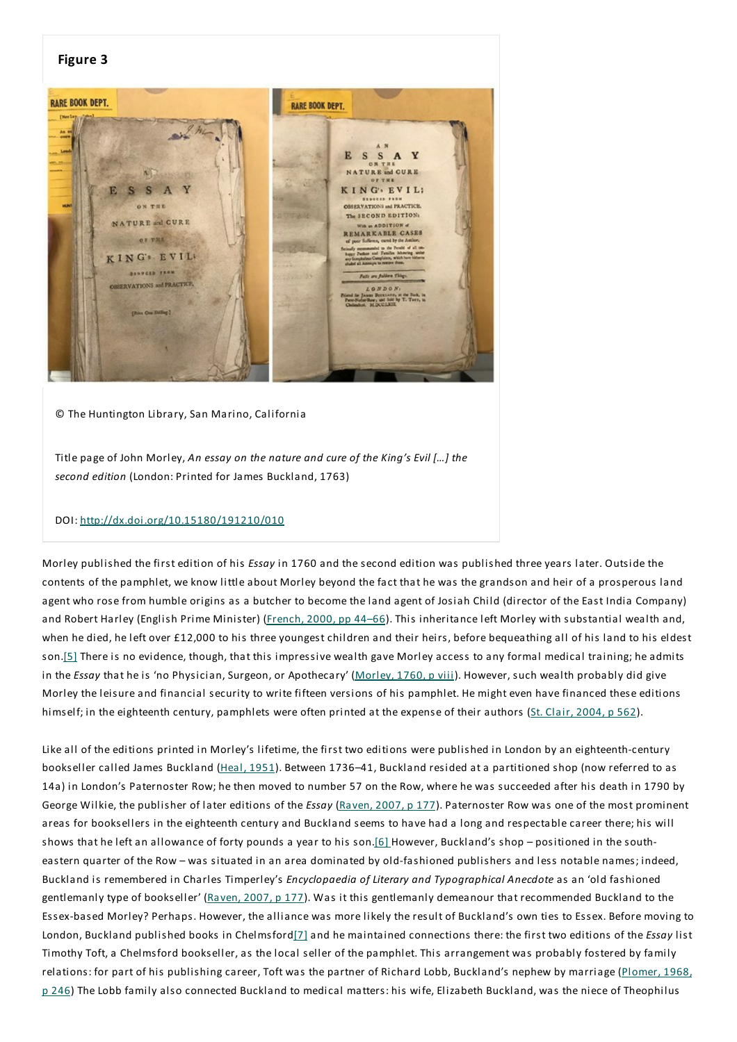

© The Huntington Library, San Marino, California

Title page of John Morley, *An essay on the nature and cure of the King's Evil […] the second edition* (London: Printed for James Buckland, 1763)

#### DOI: http://dx.doi.org/10.15180/191210/010

Morley published the first edition of his *Essay* in 1760 and the second edition was published three years later. Outside the contents of the pamphlet, we know little about Morley beyond the fact that he was the grandson and heir of a prosperous land agent who rose from humble origins as a butcher to become the land agent of Josiah Child (director of the East India Company) and Robert Harley (English Prime Minister) (French, 2000, pp 44-66). This inheritance left Morley with substantial wealth and, when he died, he left over £12,000 to his three youngest children and their heirs, before bequeathing all of his land to his eldest son.[5] There is no evidence, though, that this impressive wealth gave Morley access to any formal medical training; he admits in the *Essay* that he is 'no Physician, Surgeon, or Apothecary' (Morley, 1760, p viii). However, such wealth probably did give Morley the leisure and financial security to write fifteen versions of his pamphlet. He might even have financed these editions himself; in the eighteenth century, pamphlets were often printed at the expense of their authors (St. Clair, 2004, p 562).

Like all of the editions printed in Morley's lifetime, the first two editions were published in London by an eighteenth-century bookseller called James Buckland (Heal, 1951). Between 1736–41, Buckland resided at a partitioned shop (now referred to as 14a) in London's Paternoster Row; he then moved to number 57 on the Row, where he was succeeded after his death in 1790 by George Wilkie, the publisher of later editions of the *Essay* (Raven, 2007, p 177). Paternoster Row was one of the most prominent areas for booksellers in the eighteenth century and Buckland seems to have had a long and respectable career there; his will shows that he left an allowance of forty pounds a year to his son.[6] However, Buckland's shop – positioned in the southeastern quarter of the Row – was situated in an area dominated by old-fashioned publishers and less notable names; indeed, Buckland is remembered in Charles Timperley's *Encyclopaedia of Literary and Typographical Anecdote* as an 'old fashioned gentlemanly type of bookseller' (Raven, 2007, p 177). Was it this gentlemanly demeanour that recommended Buckland to the Essex-based Morley? Perhaps. However, the alliance was more likely the result of Buckland's own ties to Essex. Before moving to London, Buckland published books in Chelmsford[7] and he maintained connections there: the first two editions of the *Essay* list Timothy Toft, a Chelmsford bookseller, as the local seller of the pamphlet.This arrangement was probably fostered by family relations: for part of his publishing career, Toft was the partner of Richard Lobb, Buckland's nephew by marriage (Plomer, 1968, p 246) The Lobb family also connected Buckland to medical matters: his wife, Elizabeth Buckland, was the niece of Theophilus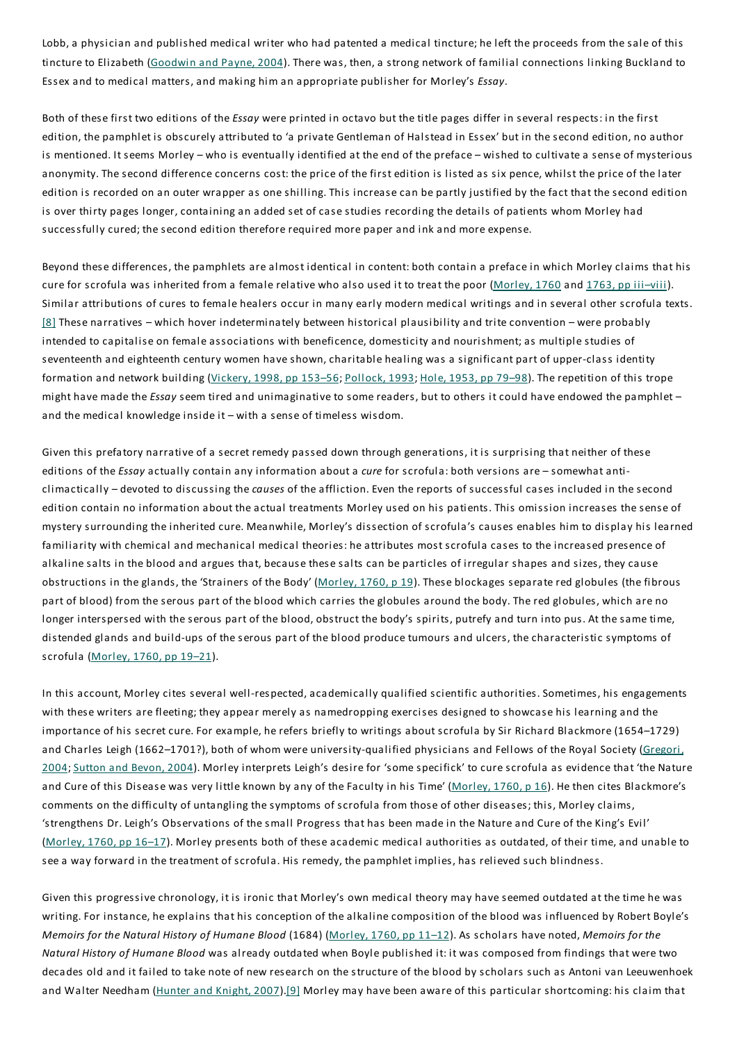Lobb, a physician and published medical writer who had patented a medical tincture; he left the proceeds from the sale of this tincture to Elizabeth (Goodwin and Payne, 2004). There was, then, a strong network of familial connections linking Buckland to Essex and to medical matters, and making him an appropriate publisher for Morley's *Essay*.

Both of these first two editions of the *Essay* were printed in octavo but the title pages differ in several respects: in the first edition, the pamphlet is obscurely attributed to 'a private Gentleman of Halstead in Essex' but in the second edition, no author is mentioned. It seems Morley – who is eventually identified at the end of the preface – wished to cultivate a sense of mysterious anonymity.The second difference concerns cost: the price of the first edition is listed as six pence, whilst the price of the later edition is recorded on an outer wrapper as one shilling.This increase can be partly justified by the fact that the second edition is over thirty pages longer, containing an added set of case studies recording the details of patients whom Morley had successfully cured; the second edition therefore required more paper and ink and more expense.

Beyond these differences, the pamphlets are almost identical in content: both contain a preface in which Morley claims that his cure for scrofula was inherited from a female relative who also used it to treat the poor (Morley, 1760 and 1763, pp iii–viii). Similar attributions of cures to female healers occur in many early modern medical writings and in several other scrofula texts. [8] These narratives – which hover indeterminately between historical plausibility and trite convention – were probably intended to capitalise on female associations with beneficence, domesticity and nourishment; as multiple studies of seventeenth and eighteenth century women have shown, charitable healing was a significant part of upper-class identity formation and network building (Vickery, 1998, pp 153-56; Pollock, 1993; Hole, 1953, pp 79-98). The repetition of this trope might have made the *Essay* seem tired and unimaginative to some readers, but to others it could have endowed the pamphlet – and the medical knowledge inside it – with a sense of timeless wisdom.

Given this prefatory narrative of a secret remedy passed down through generations, it is surprising that neither of these editions of the *Essay* actually contain any information about a *cure* for scrofula: both versions are – somewhat anticlimactically – devoted to discussing the *causes* of the affliction. Even the reports of successful cases included in the second edition contain no information about the actual treatments Morley used on his patients.This omission increases the sense of mystery surrounding the inherited cure. Meanwhile, Morley's dissection of scrofula's causes enables him to display his learned familiarity with chemical and mechanical medical theories: he attributes most scrofula cases to the increased presence of alkaline salts in the blood and argues that, because these salts can be particles of irregular shapes and sizes, they cause obstructions in the glands, the 'Strainers of the Body' ( $Morley, 1760, p 19$ ). These blockages separate red globules (the fibrous part of blood) from the serous part of the blood which carries the globules around the body.The red globules, which are no longer interspersed with the serous part of the blood, obstruct the body's spirits, putrefy and turn into pus. At the same time, distended glands and build-ups of the serous part of the blood produce tumours and ulcers, the characteristic symptoms of scrofula (Morley, 1760, pp 19–21).

In this account, Morley cites several well-respected, academically qualified scientific authorities. Sometimes, his engagements with these writers are fleeting; they appear merely as namedropping exercises designed to showcase his learning and the importance of his secret cure. For example, he refers briefly to writings about scrofula by Sir Richard Blackmore (1654–1729) and Charles Leigh (1662-1701?), both of whom were university-qualified physicians and Fellows of the Royal Society (Gregori, 2004; Sutton and Bevon, 2004). Morley interprets Leigh's desire for 'some specifick' to cure scrofula as evidence that 'the Nature and Cure of this Disease was very little known by any of the Faculty in his Time' (Morley, 1760, p 16). He then cites Blackmore's comments on the difficulty of untangling the symptoms of scrofula from those of other diseases; this, Morley claims, 'strengthens Dr. Leigh's Observations of the small Progress that has been made in the Nature and Cure of the King's Evil' (Morley, 1760, pp 16–17). Morley presents both of these academic medical authorities as outdated, of their time, and unable to see a way forward in the treatment of scrofula. His remedy, the pamphlet implies, has relieved such blindness.

Given this progressive chronology, it is ironic that Morley's own medical theory may have seemed outdated at the time he was writing. For instance, he explains that his conception of the alkaline composition of the blood was influenced by Robert Boyle's *Memoirs for the Natural History of Humane Blood* (1684) (Morley, 1760, pp 11–12). As scholars have noted, *Memoirs for the Natural History of Humane Blood* was already outdated when Boyle published it: it was composed from findings that were two decades old and it failed to take note of new research on the structure of the blood by scholars such as Antoni van Leeuwenhoek and Walter Needham (Hunter and Knight, 2007).<sup>[9]</sup> Morley may have been aware of this particular shortcoming: his claim that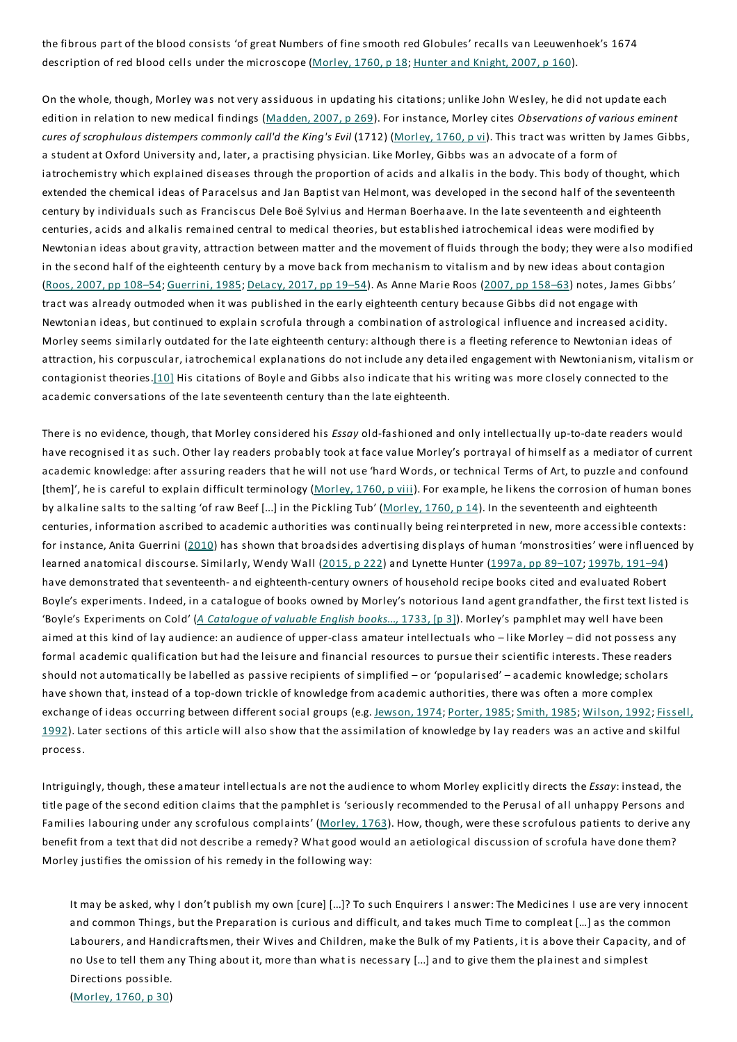the fibrous part of the blood consists 'of great Numbers of fine smooth red Globules' recalls van Leeuwenhoek's 1674 description of red blood cells under the microscope (Morley, 1760, p 18; Hunter and Knight, 2007, p 160).

On the whole, though, Morley was not very assiduous in updating his citations; unlike John Wesley, he did not update each edition in relation to new medical findings (Madden, 2007, p 269). For instance, Morley cites *Observations of various eminent cures of scrophulous distempers commonly call'd the King's Evil* (1712) (Morley, 1760, p vi).This tract was written by James Gibbs, a student at Oxford University and, later, a practising physician. Like Morley, Gibbs was an advocate of a form of iatrochemistry which explained diseases through the proportion of acids and alkalis in the body.This body of thought, which extended the chemical ideas of Paracelsus and Jan Baptist van Helmont, was developed in the second half of the seventeenth century by individuals such as Franciscus Dele Boë Sylvius and Herman Boerhaave. In the late seventeenth and eighteenth centuries, acids and alkalis remained central to medical theories, but established iatrochemical ideas were modified by Newtonian ideas about gravity, attraction between matter and the movement of fluids through the body; they were also modified in the second half of the eighteenth century by a move back from mechanism to vitalism and by new ideas about contagion (Roos, 2007, pp 108–54; Guerrini, 1985; DeLacy, 2017, pp 19–54). As Anne Marie Roos (2007, pp 158–63) notes, James Gibbs' tract was already outmoded when it was published in the early eighteenth century because Gibbs did not engage with Newtonian ideas, but continued to explain scrofula through a combination of astrological influence and increased acidity. Morley seems similarly outdated for the late eighteenth century:although there is a fleeting reference to Newtonian ideas of attraction, his corpuscular, iatrochemical explanations do not include any detailed engagement with Newtonianism, vitalism or contagionist theories.[10] His citations of Boyle and Gibbs also indicate that his writing was more closely connected to the academic conversations of the late seventeenth century than the late eighteenth.

There is no evidence, though, that Morley considered his *Essay* old-fashioned and only intellectually up-to-date readers would have recognised it as such. Other lay readers probably took at face value Morley's portrayal of himself as a mediator of current academic knowledge:after assuring readers that he will not use 'hard Words, or technical Terms of Art, to puzzle and confound [them]', he is careful to explain difficult terminology (Morley, 1760, p viii). For example, he likens the corrosion of human bones by alkaline salts to the salting 'of raw Beef [...] in the Pickling Tub' (Morley, 1760, p 14). In the seventeenth and eighteenth centuries, information ascribed to academic authorities was continually being reinterpreted in new, more accessible contexts: for instance, Anita Guerrini (2010) has shown that broadsides advertising displays of human 'monstrosities' were influenced by learned anatomical discourse. Similarly, Wendy Wall (2015, p 222) and Lynette Hunter (1997a, pp 89-107; 1997b, 191-94) have demonstrated that seventeenth- and eighteenth-century owners of household recipe books cited and evaluated Robert Boyle's experiments. Indeed, in a catalogue of books owned by Morley's notorious land agent grandfather, the first text listed is 'Boyle's Experiments on Cold' (*A Catalogue of valuable English books...,* 1733, [p 3]). Morley's pamphlet may well have been aimed at this kind of lay audience: an audience of upper-class amateur intellectuals who - like Morley - did not possess any formal academic qualification but had the leisure and financial resources to pursue their scientific interests. These readers should not automatically be labelled as passive recipients of simplified – or 'popularised' – academic knowledge; scholars have shown that, instead of a top-down trickle of knowledge from academic authorities, there was often a more complex exchange of ideas occurring between different social groups (e.g. Jewson, 1974; Porter, 1985; Smith, 1985; Wilson, 1992; Fissell, 1992). Later sections of this article will also show that the assimilation of knowledge by lay readers was an active and skilful process.

Intriguingly, though, these amateur intellectuals are not the audience to whom Morley explicitly directs the *Essay*: instead, the title page of the second edition claims that the pamphlet is 'seriously recommended to the Perusal of all unhappy Persons and Families labouring under any scrofulous complaints' (Morley, 1763). How, though, were these scrofulous patients to derive any benefit from a text that did not describe a remedy? What good would an aetiological discussion of scrofula have done them? Morley justifies the omission of his remedy in the following way:

It may be asked, why I don't publish my own [cure] [...]? To such Enquirers I answer:The Medicines I use are very innocent and common Things, but the Preparation is curious and difficult, and takes much Time to compleat […] as the common Labourers, and Handicraftsmen, their Wives and Children, make the Bulk of my Patients, it is above their Capacity, and of no Use to tell them any Thing about it, more than what is necessary [...] and to give them the plainest and simplest Directions possible. (Morley, 1760, p 30)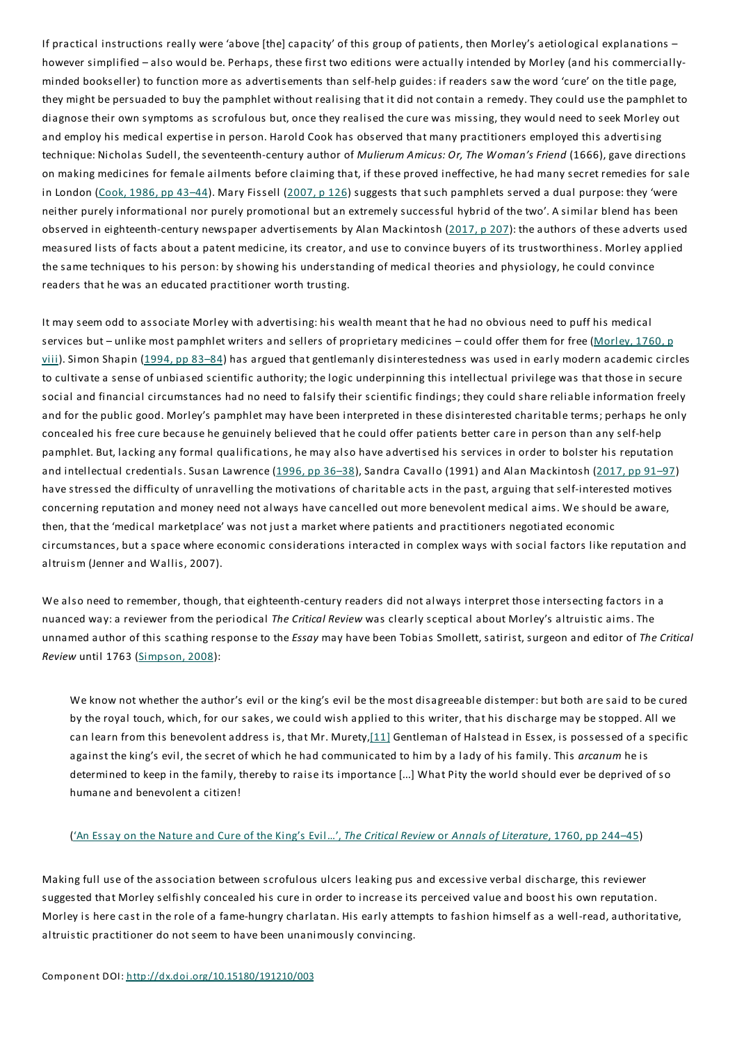If practical instructions really were 'above [the] capacity' of this group of patients, then Morley's aetiological explanations – however simplified – also would be. Perhaps, these first two editions were actually intended by Morley (and his commerciallyminded bookseller) to function more as advertisements than self-help guides: if readers saw the word 'cure' on the title page, they might be persuaded to buy the pamphlet without realising that it did not contain a remedy.They could use the pamphlet to diagnose their own symptoms as scrofulous but, once they realised the cure was missing, they would need to seek Morley out and employ his medical expertise in person. Harold Cook has observed that many practitioners employed this advertising technique: Nicholas Sudell, the seventeenth-century author of *Mulierum Amicus: Or,The Woman's Friend* (1666), gave directions on making medicines for female ailments before claiming that, if these proved ineffective, he had many secret remedies for sale in London (Cook, 1986, pp 43-44). Mary Fissell (2007, p 126) suggests that such pamphlets served a dual purpose: they 'were neither purely informational nor purely promotional but an extremely successful hybrid of the two'. A similar blend has been observed in eighteenth-century newspaper advertisements by Alan Mackintosh (2017, p 207): the authors of these adverts used measured lists of facts about a patent medicine, its creator, and use to convince buyers of its trustworthiness. Morley applied the same techniques to his person: by showing his understanding of medical theories and physiology, he could convince readers that he was an educated practitioner worth trusting.

It may seem odd to associate Morley with advertising: his wealth meant that he had no obvious need to puff his medical services but – unlike most pamphlet writers and sellers of proprietary medicines – could offer them for free (Morley, 1760, p viii). Simon Shapin (1994, pp 83–84) has argued that gentlemanly disinterestedness was used in early modern academic circles to cultivate a sense of unbiased scientific authority; the logic underpinning this intellectual privilege was that those in secure social and financial circumstances had no need to falsify their scientific findings; they could share reliable information freely and for the public good. Morley's pamphlet may have been interpreted in these disinterested charitable terms; perhaps he only concealed his free cure because he genuinely believed that he could offer patients better care in person than any self-help pamphlet. But, lacking any formal qualifications, he may also have advertised his services in order to bolster his reputation and intellectual credentials. Susan Lawrence (1996, pp 36–38), Sandra Cavallo (1991) and Alan Mackintosh (2017, pp 91–97) have stressed the difficulty of unravelling the motivations of charitable acts in the past, arguing that self-interested motives concerning reputation and money need not always have cancelled out more benevolent medical aims. We should be aware, then, that the 'medical marketplace' was not just a market where patients and practitioners negotiated economic circumstances, but a space where economic considerations interacted in complex ways with social factors like reputation and altruism (Jenner and Wallis, 2007).

We also need to remember, though, that eighteenth-century readers did not always interpret those intersecting factors in a nuanced way:a reviewer from the periodical *The Critical Review* was clearly sceptical about Morley's altruistic aims.The unnamed author of this scathing response to the *Essay* may have been Tobias Smollett, satirist, surgeon and editor of *The Critical Review* until 1763 (Simpson, 2008):

We know not whether the author's evil or the king's evil be the most disagreeable distemper: but both are said to be cured by the royal touch, which, for our sakes, we could wish applied to this writer, that his discharge may be stopped. All we can learn from this benevolent address is, that Mr. Murety,[11] Gentleman of Halstead in Essex, is possessed of a specific against the king's evil, the secret of which he had communicated to him by a lady of his family.This *arcanum* he is determined to keep in the family, thereby to raise its importance [...] What Pity the world should ever be deprived of so humane and benevolent a citizen!

#### ('An Essay on the Nature and Cure of the King's Evil…',*The Critical Review* or *Annals of Literature*, 1760, pp 244–45)

Making full use of the association between scrofulous ulcers leaking pus and excessive verbal discharge, this reviewer suggested that Morley selfishly concealed his cure in order to increase its perceived value and boost his own reputation. Morley is here cast in the role of a fame-hungry charlatan. His early attempts to fashion himself as a well-read, authoritative, altruistic practitioner do not seem to have been unanimously convincing.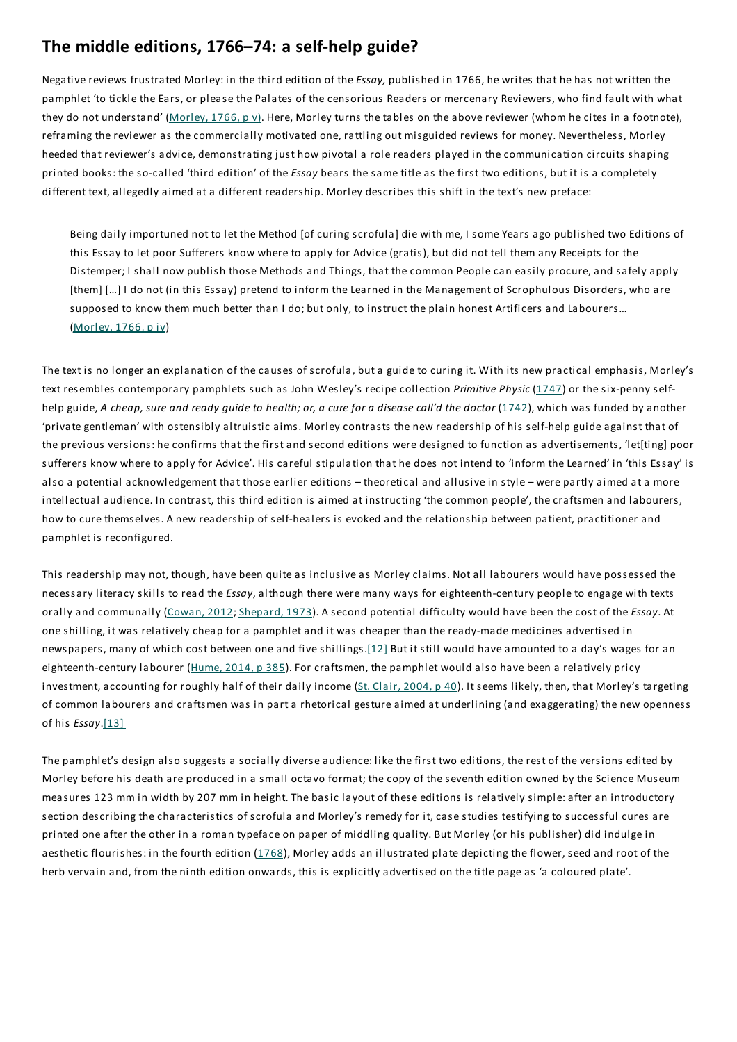## **The middle editions, 1766–74: a self-help guide?**

Negative reviews frustrated Morley: in the third edition of the *Essay,* published in 1766, he writes that he has not written the pamphlet 'to tickle the Ears, or please the Palates of the censorious Readers or mercenary Reviewers, who find fault with what they do not understand' (Morley, 1766, p v). Here, Morley turns the tables on the above reviewer (whom he cites in a footnote), reframing the reviewer as the commercially motivated one, rattling out misguided reviews for money. Nevertheless, Morley heeded that reviewer's advice, demonstrating just how pivotal a role readers played in the communication circuits shaping printed books: the so-called 'third edition' of the *Essay* bears the same title as the first two editions, but it is a completely different text, allegedly aimed at a different readership. Morley describes this shift in the text's new preface:

Being daily importuned not to let the Method [of curing scrofula] die with me, I some Years ago published two Editions of this Essay to let poor Sufferers know where to apply for Advice (gratis), but did not tell them any Receipts for the Distemper; I shall now publish those Methods and Things, that the common People can easily procure, and safely apply [them] [...] I do not (in this Essay) pretend to inform the Learned in the Management of Scrophulous Disorders, who are supposed to know them much better than I do; but only, to instruct the plain honest Artificers and Labourers... (Morley, 1766, p iv)

The text is no longer an explanation of the causes of scrofula, but a guide to curing it. With its new practical emphasis, Morley's text resembles contemporary pamphlets such as John Wesley's recipe collection *Primitive Physic* (1747) or the six-penny selfhelp guide, A cheap, sure and ready quide to health; or, a cure for a disease call'd the doctor (1742), which was funded by another 'private gentleman' with ostensibly altruistic aims. Morley contrasts the new readership of his self-help guide against that of the previous versions: he confirms that the first and second editions were designed to function as advertisements, 'let[ting] poor sufferers know where to apply for Advice'. His careful stipulation that he does not intend to 'inform the Learned' in 'this Essay' is also a potential acknowledgement that those earlier editions – theoretical and allusive in style – were partly aimed at a more intellectual audience. In contrast, this third edition is aimed at instructing 'the common people', the craftsmen and labourers, how to cure themselves. A new readership of self-healers is evoked and the relationship between patient, practitioner and pamphlet is reconfigured.

This readership may not, though, have been quite as inclusive as Morley claims. Not all labourers would have possessed the necessary literacy skills to read the *Essay*, although there were many ways for eighteenth-century people to engage with texts orally and communally (Cowan, 2012; Shepard, 1973). A second potential difficulty would have been the cost of the *Essay*. At one shilling, it was relatively cheap for a pamphlet and it was cheaper than the ready-made medicines advertised in newspapers, many of which cost between one and five shillings.[12] But it still would have amounted to a day's wages for an eighteenth-century labourer (Hume, 2014, p 385). For craftsmen, the pamphlet would also have been a relatively pricy investment, accounting for roughly half of their daily income (St. Clair, 2004, p 40). It seems likely, then, that Morley's targeting of common labourers and craftsmen was in part a rhetorical gesture aimed at underlining (and exaggerating) the new openness of his *Essay*.[13]

The pamphlet's design also suggests a socially diverse audience: like the first two editions, the rest of the versions edited by Morley before his death are produced in a small octavo format; the copy of the seventh edition owned by the Science Museum measures 123 mm in width by 207 mm in height. The basic layout of these editions is relatively simple: after an introductory section describing the characteristics of scrofula and Morley's remedy for it, case studies testifying to successful cures are printed one after the other in a roman typeface on paper of middling quality. But Morley (or his publisher) did indulge in aesthetic flourishes: in the fourth edition (1768), Morley adds an illustrated plate depicting the flower, seed and root of the herb vervain and, from the ninth edition onwards, this is explicitly advertised on the title page as 'a coloured plate'.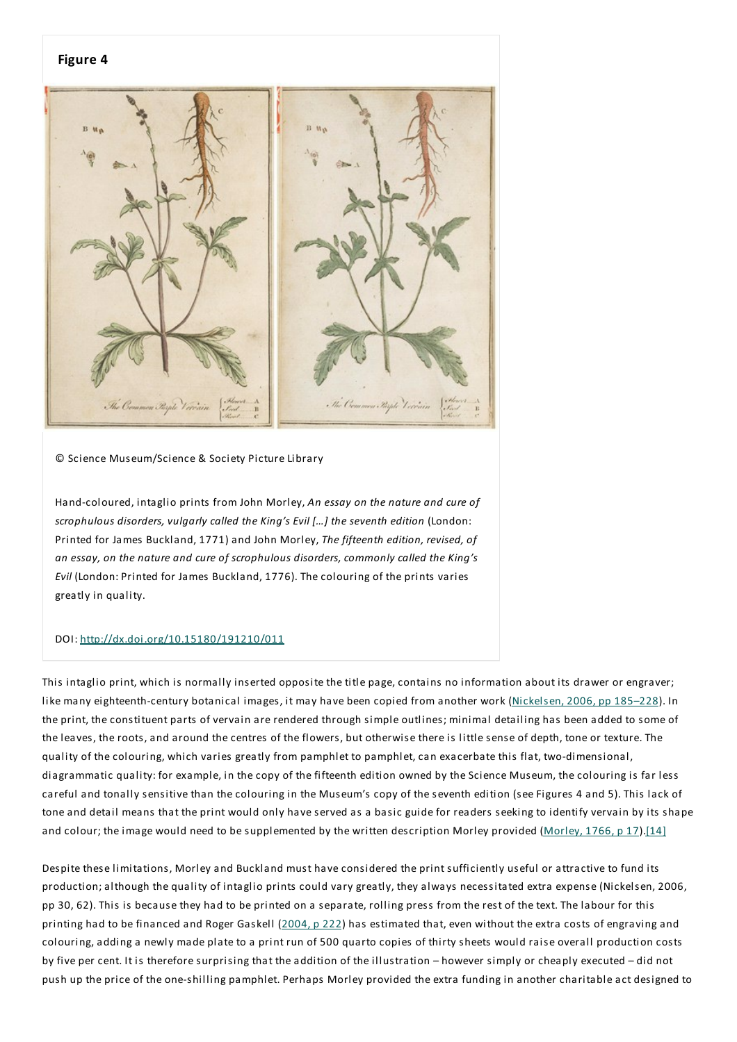#### **Figure 4**



© Science Museum/Science & Society Picture Library

Hand-coloured, intaglio prints from John Morley, *An essay on the nature and cure of scrophulous disorders, vulgarly called the King's Evil […] the seventh edition* (London: Printed for James Buckland, 1771) and John Morley,*The fifteenth edition, revised, of an essay, on the nature and cure of scrophulous disorders, commonly called the King's Evil* (London: Printed for James Buckland, 1776).The colouring of the prints varies greatly in quality.

#### DOI: http://dx.doi.org/10.15180/191210/011

This intaglio print, which is normally inserted opposite the title page, contains no information about its drawer or engraver; like many eighteenth-century botanical images, it may have been copied from another work (Nickelsen, 2006, pp 185–228). In the print, the constituent parts of vervain are rendered through simple outlines; minimal detailing has been added to some of the leaves, the roots, and around the centres of the flowers, but otherwise there is little sense of depth, tone or texture.The quality of the colouring, which varies greatly from pamphlet to pamphlet, can exacerbate this flat, two-dimensional, diagrammatic quality: for example, in the copy of the fifteenth edition owned by the Science Museum, the colouring is far less careful and tonally sensitive than the colouring in the Museum's copy of the seventh edition (see Figures 4 and 5).This lack of tone and detail means that the print would only have served as a basic guide for readers seeking to identify vervain by its shape and colour; the image would need to be supplemented by the written description Morley provided (Morley, 1766, p 17).[14]

Despite these limitations, Morley and Buckland must have considered the print sufficiently useful or attractive to fund its production;although the quality of intaglio prints could vary greatly, they always necessitated extra expense (Nickelsen, 2006, pp 30, 62). This is because they had to be printed on a separate, rolling press from the rest of the text. The labour for this printing had to be financed and Roger Gaskell (2004, p 222) has estimated that, even without the extra costs of engraving and colouring, adding a newly made plate to a print run of 500 quarto copies of thirty sheets would raise overall production costs by five per cent. It is therefore surprising that the addition of the illustration – however simply or cheaply executed – did not push up the price of the one-shilling pamphlet. Perhaps Morley provided the extra funding in another charitable act designed to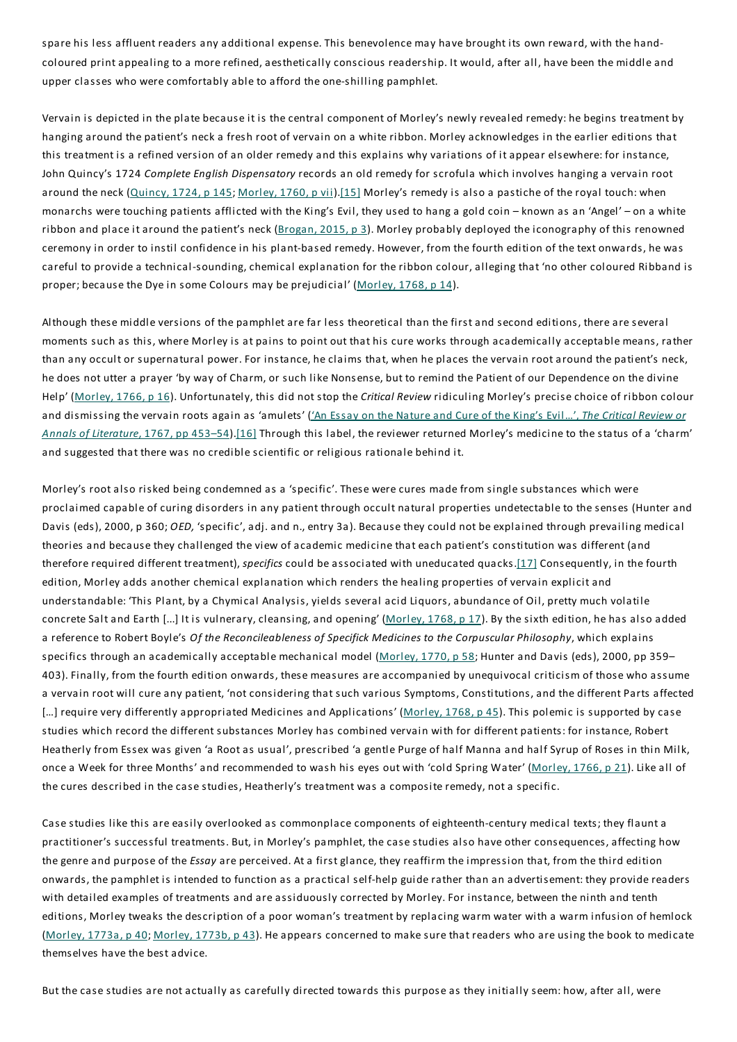spare his less affluent readers any additional expense.This benevolence may have brought its own reward, with the handcoloured print appealing to a more refined, aesthetically conscious readership. It would, after all, have been the middle and upper classes who were comfortably able to afford the one-shilling pamphlet.

Vervain is depicted in the plate because it is the central component of Morley's newly revealed remedy: he begins treatment by hanging around the patient's neck a fresh root of vervain on a white ribbon. Morley acknowledges in the earlier editions that this treatment is a refined version of an older remedy and this explains why variations of it appear elsewhere: for instance, John Quincy's 1724 *Complete English Dispensatory* records an old remedy for scrofula which involves hanging a vervain root around the neck (Quincy, 1724, p 145; Morley, 1760, p vii).[15] Morley's remedy is also a pastiche of the royal touch: when monarchs were touching patients afflicted with the King's Evil, they used to hang a gold coin – known as an 'Angel' – on a white ribbon and place it around the patient's neck (Brogan, 2015, p 3). Morley probably deployed the iconography of this renowned ceremony in order to instil confidence in his plant-based remedy. However, from the fourth edition of the text onwards, he was careful to provide a technical-sounding, chemical explanation for the ribbon colour, alleging that 'no other coloured Ribband is proper; because the Dye in some Colours may be prejudicial' (Morley, 1768, p 14).

Although these middle versions of the pamphlet are far less theoretical than the first and second editions, there are several moments such as this, where Morley is at pains to point out that his cure works through academically acceptable means, rather than any occult or supernatural power. For instance, he claims that, when he places the vervain root around the patient's neck, he does not utter a prayer 'by way of Charm, or such like Nonsense, but to remind the Patient of our Dependence on the divine Help' (Morley, 1766, p 16). Unfortunately, this did not stop the *Critical Review* ridiculing Morley's precise choice of ribbon colour and dismissing the vervain roots again as 'amulets' ('An Essay on the Nature and Cure of the King's Evil…',*The Critical Review or Annals of Literature*, 1767, pp 453–54).[16] Through this label, the reviewer returned Morley's medicine to the status of a 'charm' and suggested that there was no credible scientific or religious rationale behind it.

Morley's root also risked being condemned as a 'specific'. These were cures made from single substances which were proclaimed capable of curing disorders in any patient through occult natural properties undetectable to the senses (Hunter and Davis (eds), 2000, p 360; *OED,* 'specific', adj. and n., entry 3a). Because they could not be explained through prevailing medical theories and because they challenged the view of academic medicine that each patient's constitution was different (and therefore required different treatment), *specifics* could be associated with uneducated quacks.[17] Consequently, in the fourth edition, Morley adds another chemical explanation which renders the healing properties of vervain explicit and understandable: 'This Plant, by a Chymical Analysis, yields several acid Liquors, abundance of Oil, pretty much volatile concrete Salt and Earth [...] It is vulnerary, cleansing, and opening' (Morley, 1768, p 17). By the sixth edition, he has also added a reference to Robert Boyle's *Of the Reconcileableness of Specifick Medicines to the Corpuscular Philosophy*, which explains specifics through an academically acceptable mechanical model (Morley, 1770, p 58; Hunter and Davis (eds), 2000, pp 359-403). Finally, from the fourth edition onwards, these measures are accompanied by unequivocal criticism of those who assume a vervain root will cure any patient, 'not considering that such various Symptoms, Constitutions, and the different Parts affected [...] require very differently appropriated Medicines and Applications' (Morley, 1768, p 45). This polemic is supported by case studies which record the different substances Morley has combined vervain with for different patients: for instance, Robert Heatherly from Essex was given 'a Root as usual', prescribed 'a gentle Purge of half Manna and half Syrup of Roses in thin Milk, once a Week for three Months' and recommended to wash his eyes out with 'cold Spring Water' (Morley, 1766, p 21). Like all of the cures described in the case studies, Heatherly's treatment was a composite remedy, not a specific.

Case studies like this are easily overlooked as commonplace components of eighteenth-century medical texts; they flaunt a practitioner's successful treatments. But, in Morley's pamphlet, the case studies also have other consequences, affecting how the genre and purpose of the *Essay* are perceived. At a first glance, they reaffirm the impression that, from the third edition onwards, the pamphlet is intended to function as a practical self-help guide rather than an advertisement: they provide readers with detailed examples of treatments and are assiduously corrected by Morley. For instance, between the ninth and tenth editions, Morley tweaks the description of a poor woman's treatment by replacing warm water with a warm infusion of hemlock (Morley, 1773a, p 40; Morley, 1773b, p 43). He appears concerned to make sure that readers who are using the book to medicate themselves have the best advice.

But the case studies are not actually as carefully directed towards this purpose as they initially seem: how, after all, were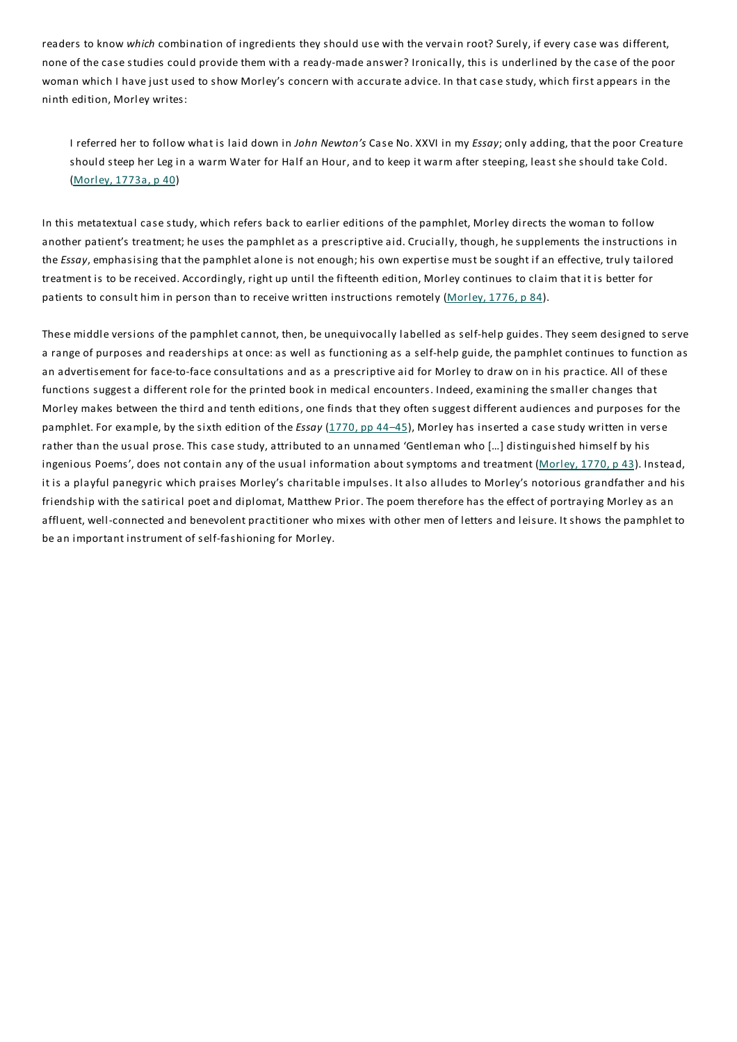readers to know *which* combination of ingredients they should use with the vervain root? Surely, if every case was different, none of the case studies could provide them with a ready-made answer? Ironically, this is underlined by the case of the poor woman which I have just used to show Morley's concern with accurate advice. In that case study, which first appears in the ninth edition, Morley writes:

I referred her to follow what is laid down in *John Newton's* Case No. XXVI in my *Essay*; only adding, that the poor Creature should steep her Leg in a warm Water for Half an Hour, and to keep it warm after steeping, least she should take Cold. (Morley, 1773a, p 40)

In this metatextual case study, which refers back to earlier editions of the pamphlet, Morley directs the woman to follow another patient's treatment; he uses the pamphlet as a prescriptive aid. Crucially, though, he supplements the instructions in the *Essay*, emphasising that the pamphlet alone is not enough; his own expertise must be sought if an effective, truly tailored treatment is to be received. Accordingly, right up until the fifteenth edition, Morley continues to claim that it is better for patients to consult him in person than to receive written instructions remotely (Morley, 1776, p 84).

These middle versions of the pamphlet cannot, then, be unequivocally labelled as self-help guides.They seem designed to serve a range of purposes and readerships at once:as well as functioning as a self-help guide, the pamphlet continues to function as an advertisement for face-to-face consultations and as a prescriptive aid for Morley to draw on in his practice. All of these functions suggest a different role for the printed book in medical encounters. Indeed, examining the smaller changes that Morley makes between the third and tenth editions, one finds that they often suggest different audiences and purposes for the pamphlet. For example, by the sixth edition of the *Essay* (1770, pp 44–45), Morley has inserted a case study written in verse rather than the usual prose.This case study, attributed to an unnamed 'Gentleman who […] distinguished himself by his ingenious Poems', does not contain any of the usual information about symptoms and treatment (Morley, 1770, p 43). Instead, it is a playful panegyric which praises Morley's charitable impulses. It also alludes to Morley's notorious grandfather and his friendship with the satirical poet and diplomat, Matthew Prior.The poem therefore has the effect of portraying Morley as an affluent, well-connected and benevolent practitioner who mixes with other men of letters and leisure. It shows the pamphlet to be an important instrument of self-fashioning for Morley.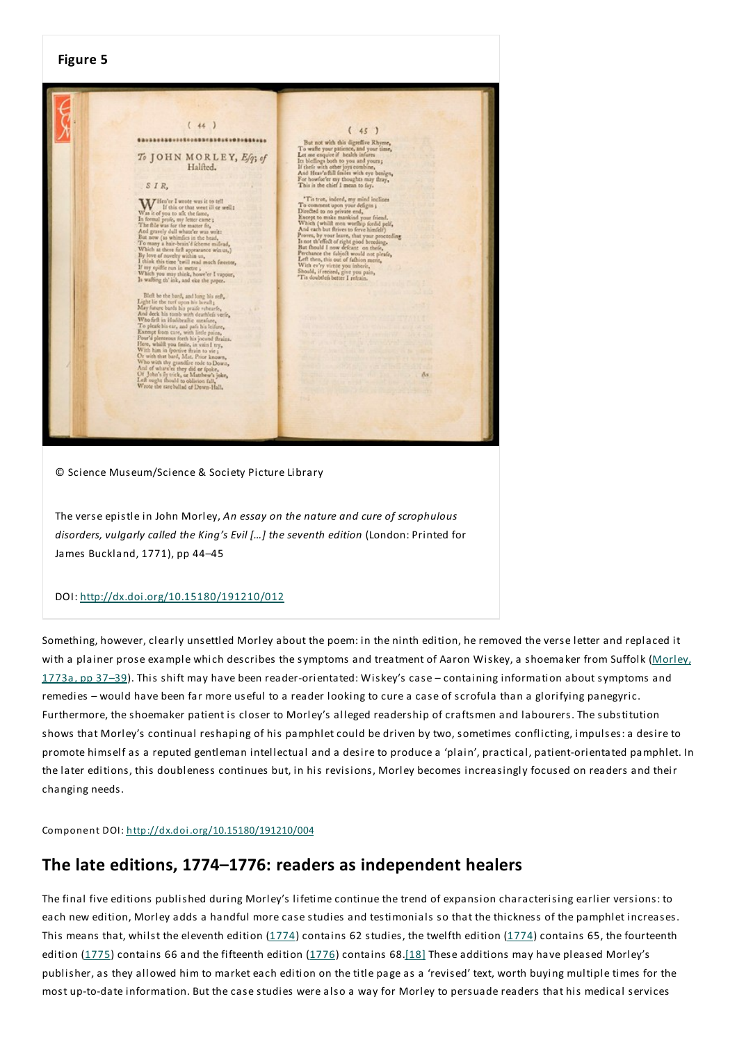## **Figure 5**  $(44)$  $(45)$ \*\*\*\*\*\*\*\*\*\*\*\*\*\*\*\*\*\*\*\*\*\*\*\*\*\*\*\*\*\*\*\*\*\*\*\* But not wish this digrettive Rhyme,<br>To walle your paints: A, and your time, Let one exquire of both<br>the interest state of the state of the state of the state of the<br>distribution of the state of the state of the state of t To JOHN MORLEY, Efg; of Halfted.  $SIR$  $\begin{array}{l} \textbf{W} \textbf{M} \text{ is the left of } \mathbb{R} \text{ and } \mathbb{R} \text{ is a set of } \mathbb{R} \\ \textbf{W} \textbf{m} \text{ is of } \mathbb{R} \text{ is a set that vector, it is a real, if } \mathbb{R} \text{ is a set of that vector, it is a real. For each of the class, we find the same for the class of  $\mathbb{R} \text{ and } \mathbb{R} \text{ and } \mathbb{R} \text{ is a set of the number of } \mathbb{R} \text{ and } \mathbb{R} \text{ and } \mathbb{R} \text{ is a set of the class. With the class of the class of$$ 'Tis true, indeed, my mind inclines This track, balled, my mind inclines<br>The trem, the compare degree of the Excellent to construct the Except to make markind your friend,<br>Except to make markind your friend, Which (which the inclusion of the constraint)<br>And 'recised, give you pain,<br>tlefs better I refrain. Bleft be the bard, and long his reft, ght lie the turf upon his head!;<br>ay fature bashs his praife rebearfe,<br>of deck his tomb worb deathlefs verie,<br>the firth in Hadibraille unsaface,<br>the firth in Hadibraille unsaface,<br>tempt from care, with little pains, ion care, with little pains,<br>entoous forth his jocund thrains.<br>alft you finile, in vain I try, whatt you finds, in vain I try,<br>him in fportive firsin to vie ;<br>th that bard, Mat. Prior known,<br>with thy grandfire rode to Down n trat care, and the role to Down,<br>with thy grandice role to Down,<br>with thy grandic erigins of what's sight thould to oblivion fall,<br>upe rareballad of Down-Hall,<br>the rareballad of Down-Hall, As

© Science Museum/Science & Society Picture Library

The verse epistle in John Morley, *An essay on the nature and cure of scrophulous disorders, vulgarly called the King's Evil […] the seventh edition* (London: Printed for James Buckland, 1771), pp 44–45

#### DOI: http://dx.doi.org/10.15180/191210/012

Something, however, clearly unsettled Morley about the poem: in the ninth edition, he removed the verse letter and replaced it with a plainer prose example which describes the symptoms and treatment of Aaron Wiskey, a shoemaker from Suffolk (Morley, 1773a, pp 37–39).This shift may have been reader-orientated: Wiskey's case – containing information about symptoms and remedies – would have been far more useful to a reader looking to cure a case of scrofula than a glorifying panegyric. Furthermore, the shoemaker patient is closer to Morley's alleged readership of craftsmen and labourers.The substitution shows that Morley's continual reshaping of his pamphlet could be driven by two, sometimes conflicting, impulses:a desire to promote himself as a reputed gentleman intellectual and a desire to produce a 'plain', practical, patient-orientated pamphlet. In the later editions, this doubleness continues but, in his revisions, Morley becomes increasingly focused on readers and their changing needs.

Component DOI: http://dx.doi.org/10.15180/191210/004

## **The late editions, 1774–1776: readers as independent healers**

The final five editions published during Morley's lifetime continue the trend of expansion characterising earlier versions: to each new edition, Morley adds a handful more case studies and testimonials so that the thickness of the pamphlet increases. This means that, whilst the eleventh edition  $(1774)$  contains 62 studies, the twelfth edition  $(1774)$  contains 65, the fourteenth edition  $(1775)$  contains 66 and the fifteenth edition  $(1776)$  contains 68.<sup>[18]</sup> These additions may have pleased Morley's publisher, as they allowed him to market each edition on the title page as a 'revised' text, worth buying multiple times for the most up-to-date information. But the case studies were also a way for Morley to persuade readers that his medical services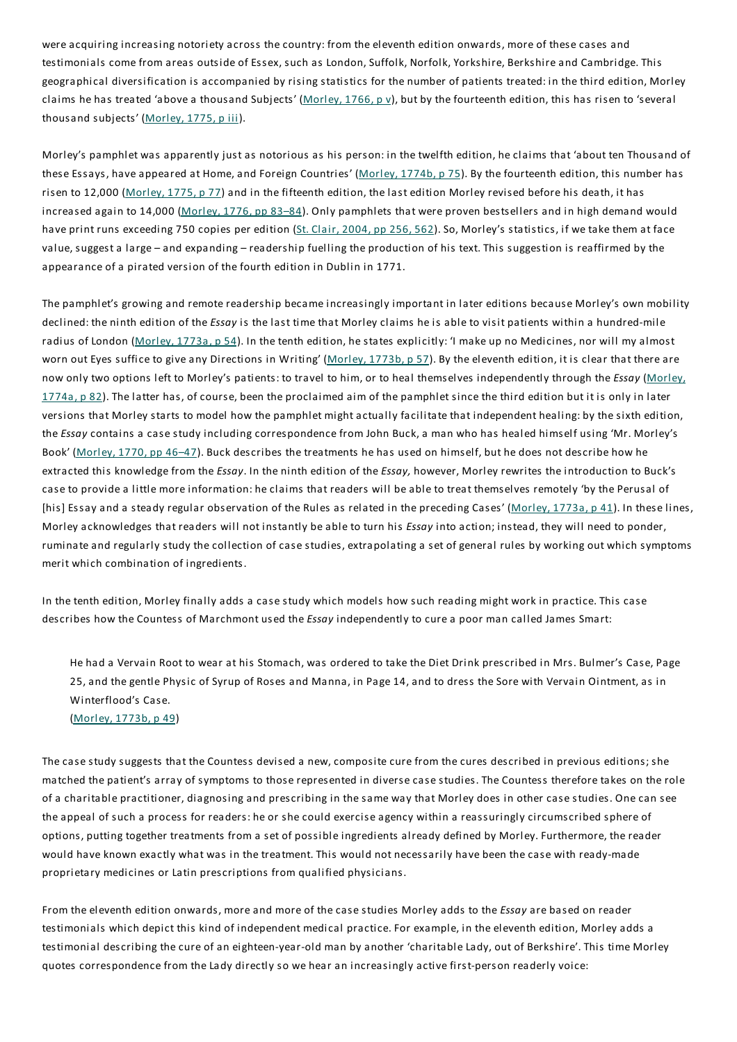were acquiring increasing notoriety across the country: from the eleventh edition onwards, more of these cases and testimonials come from areas outside of Essex, such as London, Suffolk, Norfolk, Yorkshire, Berkshire and Cambridge. This geographical diversification is accompanied by rising statistics for the number of patients treated: in the third edition, Morley claims he has treated 'above a thousand Subjects' (Morley, 1766, p v), but by the fourteenth edition, this has risen to 'several thousand subjects' (Morley, 1775, p iii).

Morley's pamphlet was apparently just as notorious as his person: in the twelfth edition, he claims that 'about ten Thousand of these Essays, have appeared at Home, and Foreign Countries' (Morley, 1774b, p 75). By the fourteenth edition, this number has risen to 12,000 (Morley, 1775, p 77) and in the fifteenth edition, the last edition Morley revised before his death, it has increased again to 14,000 (Morley, 1776, pp 83–84). Only pamphlets that were proven bestsellers and in high demand would have print runs exceeding 750 copies per edition (St. Clair, 2004, pp 256, 562). So, Morley's statistics, if we take them at face value, suggest a large – and expanding – readership fuelling the production of his text. This suggestion is reaffirmed by the appearance of a pirated version of the fourth edition in Dublin in 1771.

The pamphlet's growing and remote readership became increasingly important in later editions because Morley's own mobility declined: the ninth edition of the *Essay* is the last time that Morley claims he is able to visit patients within a hundred-mile radius of London (Morley, 1773a, p 54). In the tenth edition, he states explicitly: 'I make up no Medicines, nor will my almost worn out Eyes suffice to give any Directions in Writing' (Morley, 1773b, p 57). By the eleventh edition, it is clear that there are now only two options left to Morley's patients: to travel to him, or to heal themselves independently through the *Essay* (Morley, 1774a, p 82).The latter has, of course, been the proclaimed aim of the pamphlet since the third edition but it is only in later versions that Morley starts to model how the pamphlet might actually facilitate that independent healing: by the sixth edition, the *Essay* contains a case study including correspondence from John Buck, a man who has healed himself using 'Mr. Morley's Book' (Morley, 1770, pp 46–47). Buck describes the treatments he has used on himself, but he does not describe how he extracted this knowledge from the *Essay*. In the ninth edition of the *Essay,* however, Morley rewrites the introduction to Buck's case to provide a little more information: he claims that readers will be able to treat themselves remotely 'by the Perusal of [his] Essay and a steady regular observation of the Rules as related in the preceding Cases' (Morley, 1773a, p 41). In these lines, Morley acknowledges that readers will not instantly be able to turn his *Essay* into action; instead, they will need to ponder, ruminate and regularly study the collection of case studies, extrapolating a set of general rules by working out which symptoms merit which combination of ingredients.

In the tenth edition, Morley finally adds a case study which models how such reading might work in practice. This case describes how the Countess of Marchmont used the *Essay* independently to cure a poor man called James Smart:

He had a Vervain Root to wear at his Stomach, was ordered to take the Diet Drink prescribed in Mrs. Bulmer's Case, Page 25, and the gentle Physic of Syrup of Roses and Manna, in Page 14, and to dress the Sore with Vervain Ointment, as in Winterflood's Case.

#### (Morley, 1773b, p 49)

The case study suggests that the Countess devised a new, composite cure from the cures described in previous editions; she matched the patient's array of symptoms to those represented in diverse case studies.The Countess therefore takes on the role of a charitable practitioner, diagnosing and prescribing in the same way that Morley does in other case studies. One can see the appeal of such a process for readers: he or she could exercise agency within a reassuringly circumscribed sphere of options, putting together treatments from a set of possible ingredients already defined by Morley. Furthermore, the reader would have known exactly what was in the treatment. This would not necessarily have been the case with ready-made proprietary medicines or Latin prescriptions from qualified physicians.

From the eleventh edition onwards, more and more of the case studies Morley adds to the *Essay* are based on reader testimonials which depict this kind of independent medical practice. For example, in the eleventh edition, Morley adds a testimonial describing the cure of an eighteen-year-old man by another 'charitable Lady, out of Berkshire'.This time Morley quotes correspondence from the Lady directly so we hear an increasingly active first-person readerly voice: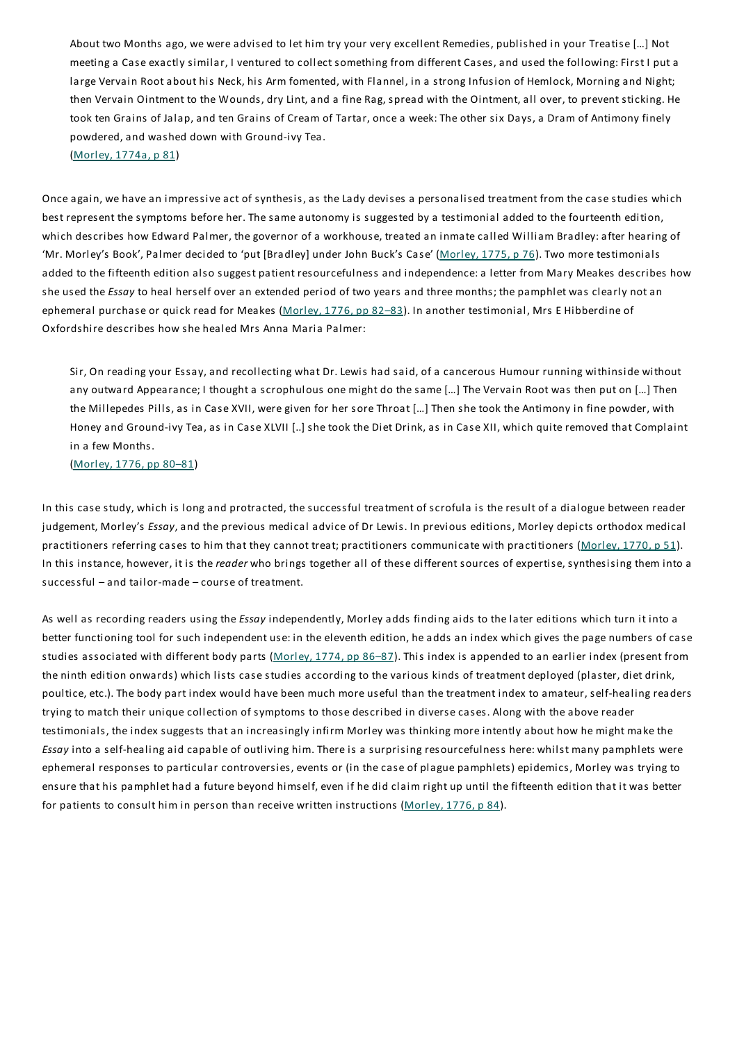About two Months ago, we were advised to let him try your very excellent Remedies, published in your Treatise […] Not meeting a Case exactly similar, I ventured to collect something from different Cases, and used the following:First I put a large Vervain Root about his Neck, his Arm fomented, with Flannel, in a strong Infusion of Hemlock, Morning and Night; then Vervain Ointment to the Wounds, dry Lint, and a fine Rag, spread with the Ointment, all over, to prevent sticking. He took ten Grains of Jalap, and ten Grains of Cream of Tartar, once a week:The other six Days, a Dram of Antimony finely powdered, and washed down with Ground-ivy Tea.

(Morley, 1774a, p 81)

Once again, we have an impressive act of synthesis, as the Lady devises a personalised treatment from the case studies which best represent the symptoms before her. The same autonomy is suggested by a testimonial added to the fourteenth edition, which describes how Edward Palmer, the governor of a workhouse, treated an inmate called William Bradley:after hearing of 'Mr. Morley's Book', Palmer decided to 'put [Bradley] under John Buck's Case' (Morley, 1775, p 76).Two more testimonials added to the fifteenth edition also suggest patient resourcefulness and independence:a letter from Mary Meakes describes how she used the *Essay* to heal herself over an extended period of two years and three months; the pamphlet was clearly not an ephemeral purchase or quick read for Meakes (Morley, 1776, pp 82–83). In another testimonial, Mrs E Hibberdine of Oxfordshire describes how she healed Mrs Anna Maria Palmer:

Sir, On reading your Essay, and recollecting what Dr. Lewis had said, of a cancerous Humour running withinside without any outward Appearance; I thought a scrophulous one might do the same […] The Vervain Root was then put on […] Then the Millepedes Pills, as in Case XVII, were given for her sore Throat […] Then she took the Antimony in fine powder, with Honey and Ground-ivy Tea, as in Case XLVII [..] she took the Diet Drink, as in Case XII, which quite removed that Complaint in a few Months.

(Morley, 1776, pp 80–81)

In this case study, which is long and protracted, the successful treatment of scrofula is the result of a dialogue between reader judgement, Morley's *Essay*, and the previous medical advice of Dr Lewis. In previous editions, Morley depicts orthodox medical practitioners referring cases to him that they cannot treat; practitioners communicate with practitioners (Morley, 1770, p 51). In this instance, however, it is the *reader* who brings together all of these different sources of expertise, synthesising them into a successful – and tailor-made – course of treatment.

As well as recording readers using the *Essay* independently, Morley adds finding aids to the later editions which turn it into a better functioning tool for such independent use: in the eleventh edition, he adds an index which gives the page numbers of case studies associated with different body parts (Morley, 1774, pp 86-87). This index is appended to an earlier index (present from the ninth edition onwards) which lists case studies according to the various kinds of treatment deployed (plaster, diet drink, poultice, etc.).The body part index would have been much more useful than the treatment index to amateur, self-healing readers trying to match their unique collection of symptoms to those described in diverse cases. Along with the above reader testimonials, the index suggests that an increasingly infirm Morley was thinking more intently about how he might make the *Essay* into a self-healing aid capable of outliving him.There is a surprising resourcefulness here: whilst many pamphlets were ephemeral responses to particular controversies, events or (in the case of plague pamphlets) epidemics, Morley was trying to ensure that his pamphlet had a future beyond himself, even if he did claim right up until the fifteenth edition that it was better for patients to consult him in person than receive written instructions (Morley, 1776, p 84).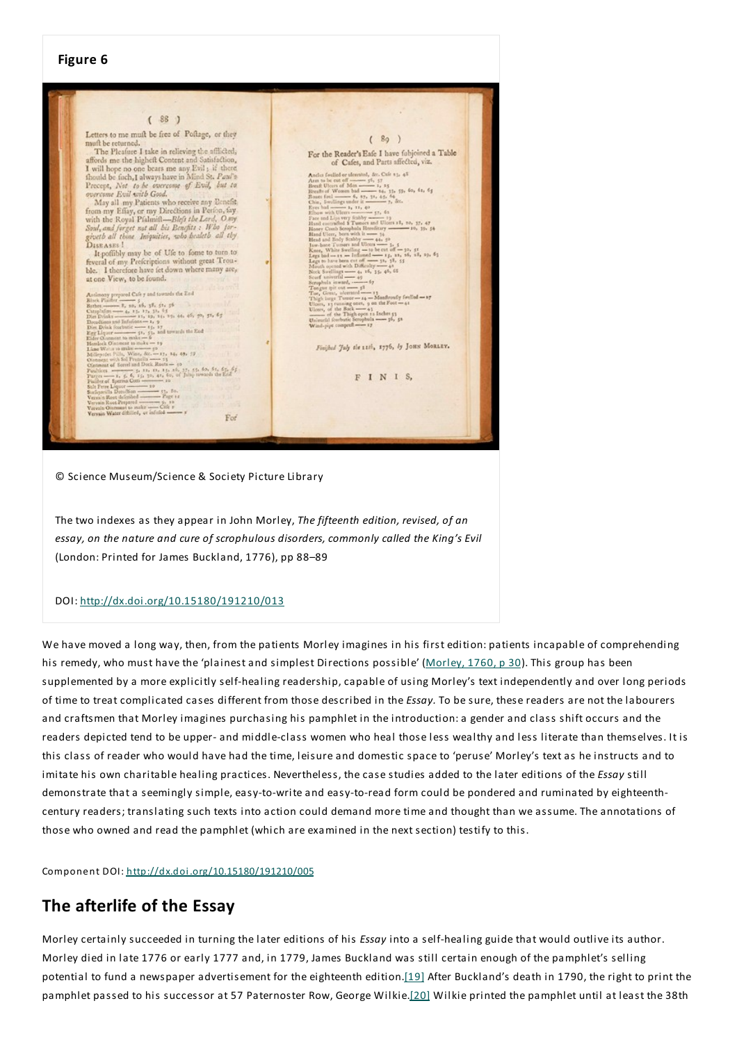

© Science Museum/Science & Society Picture Library

The two indexes as they appear in John Morley,*The fifteenth edition, revised, of an essay, on the nature and cure of scrophulous disorders, commonly called the King's Evil* (London: Printed for James Buckland, 1776), pp 88–89

#### DOI: http://dx.doi.org/10.15180/191210/013

We have moved a long way, then, from the patients Morley imagines in his first edition: patients incapable of comprehending his remedy, who must have the 'plainest and simplest Directions possible' (Morley, 1760, p 30). This group has been supplemented by a more explicitly self-healing readership, capable of using Morley's text independently and over long periods of time to treat complicated cases different from those described in the *Essay.*To be sure, these readers are not the labourers and craftsmen that Morley imagines purchasing his pamphlet in the introduction:a gender and class shift occurs and the readers depicted tend to be upper- and middle-class women who heal those less wealthy and less literate than themselves. It is this class of reader who would have had the time, leisure and domestic space to 'peruse' Morley's text as he instructs and to imitate his own charitable healing practices. Nevertheless, the case studies added to the later editions of the *Essay* still demonstrate that a seemingly simple, easy-to-write and easy-to-read form could be pondered and ruminated by eighteenthcentury readers; translating such texts into action could demand more time and thought than we assume.The annotations of those who owned and read the pamphlet (which are examined in the next section) testify to this.

Component DOI: http://dx.doi.org/10.15180/191210/005

## **The afterlife of the Essay**

Morley certainly succeeded in turning the later editions of his *Essay* into a self-healing guide that would outlive its author. Morley died in late 1776 or early 1777 and, in 1779, James Buckland was still certain enough of the pamphlet's selling potential to fund a newspaper advertisement for the eighteenth edition.[19] After Buckland's death in 1790, the right to print the pamphlet passed to his successor at 57 Paternoster Row, George Wilkie.[20] Wilkie printed the pamphlet until at least the 38th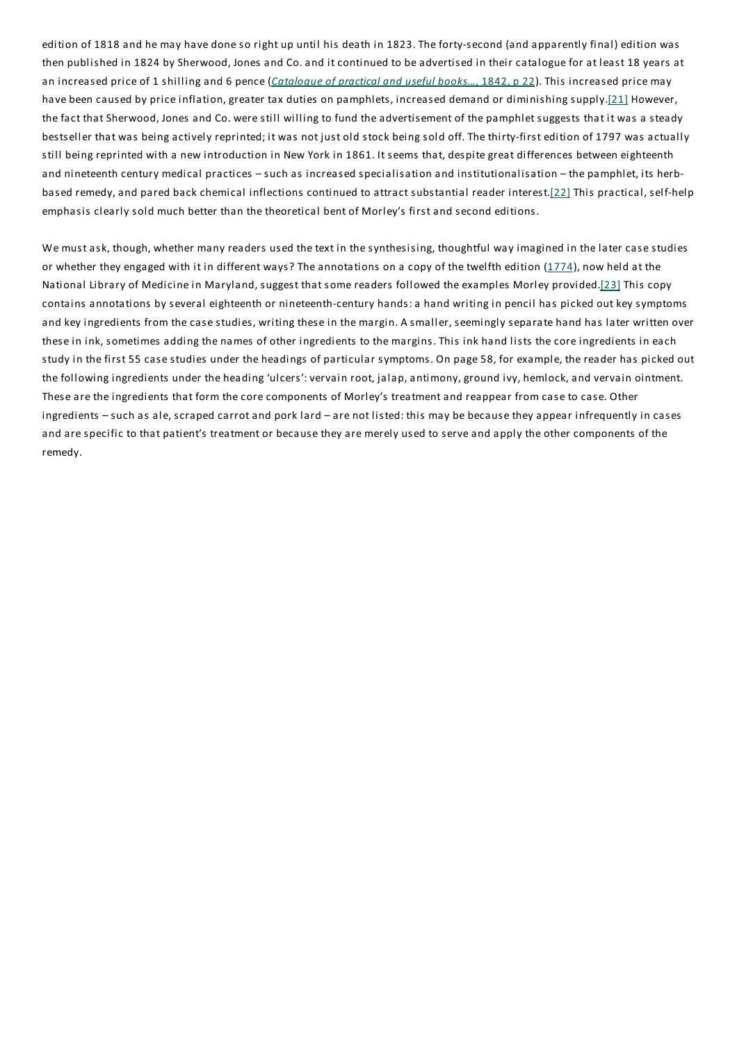edition of 1818 and he may have done so right up until his death in 1823.The forty-second (and apparently final) edition was then published in 1824 by Sherwood, Jones and Co. and it continued to be advertised in their catalogue for at least 18 years at an increased price of 1 shilling and 6 pence (*Catalogue of practical and useful books…,* 1842, p 22).This increased price may have been caused by price inflation, greater tax duties on pamphlets, increased demand or diminishing supply.[21] However, the fact that Sherwood, Jones and Co. were still willing to fund the advertisement of the pamphlet suggests that it was a steady bestseller that was being actively reprinted; it was not just old stock being sold off.The thirty-first edition of 1797 was actually still being reprinted with a new introduction in New York in 1861. It seems that, despite great differences between eighteenth and nineteenth century medical practices – such as increased specialisation and institutionalisation – the pamphlet, its herbbased remedy, and pared back chemical inflections continued to attract substantial reader interest.[22] This practical, self-help emphasis clearly sold much better than the theoretical bent of Morley's first and second editions.

We must ask, though, whether many readers used the text in the synthesising, thoughtful way imagined in the later case studies or whether they engaged with it in different ways? The annotations on a copy of the twelfth edition (1774), now held at the National Library of Medicine in Maryland, suggest that some readers followed the examples Morley provided.[23] This copy contains annotations by several eighteenth or nineteenth-century hands:a hand writing in pencil has picked out key symptoms and key ingredients from the case studies, writing these in the margin. A smaller, seemingly separate hand has later written over these in ink, sometimes adding the names of other ingredients to the margins.This ink hand lists the core ingredients in each study in the first 55 case studies under the headings of particular symptoms. On page 58, for example, the reader has picked out the following ingredients under the heading 'ulcers':vervain root, jalap, antimony, ground ivy, hemlock, and vervain ointment. These are the ingredients that form the core components of Morley's treatment and reappear from case to case. Other ingredients – such as ale, scraped carrot and pork lard – are not listed: this may be because they appear infrequently in cases and are specific to that patient's treatment or because they are merely used to serve and apply the other components of the remedy.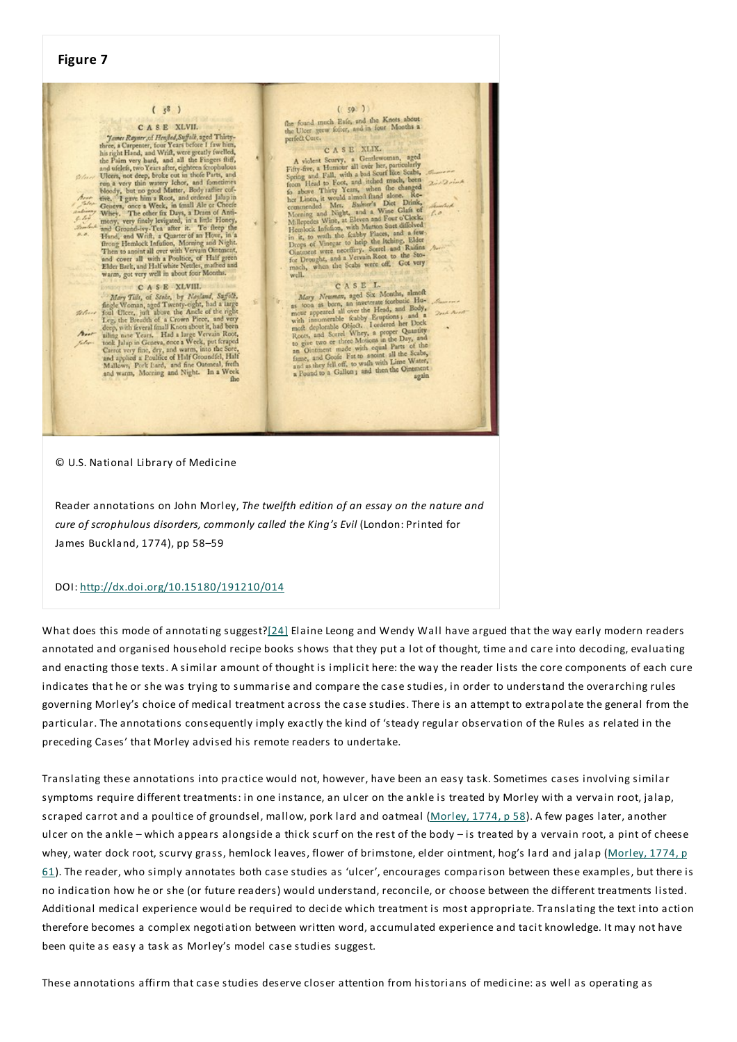## **Figure 7**  $(59)$  $(5^8)$ The found much Eafe, and the Knots about<br>the Ulcer grew fefer, and in four Months a<br>perfect Cure.  ${\bf C} \hspace{-0.8ex}\mbox{\bf C} \hspace{-0.8ex}\mbox{\bf C} \hspace{-0.8ex}\mbox{\bf C} \hspace{-0.8ex}\mbox{\bf R} \hspace{-0.8ex}\mbox{\bf S} \hspace{-0.8ex}\mbox{\bf E} \hspace{-0.8ex}\mbox{\bf XLVII}.$  There, a Carpenter, foor Years before f from hine, has right Hand, and Writ, were greatly fwelled, the Pai CASE XLVII. perfect Care. C A S E XLIX.<br>
C A S E XLIX.<br>
C A violent Scarvy, a Gentlewoman, aged<br>
Fifty-five, a Humour all over ber, particularly<br>
Fifty-five, a Humour all over ber, particularly<br>
form lies of a short Thire, when the c  $2.22$ oint bear<br>Talen  $1.0$ CASE XLVIII. CASE L C A S E XLVIII.<br>
Mary Till, of Stake, by Nayland, Suffolk, Mary Till, of Stake, by Nayland, Suffolk, Facepter, eight Twenty-eight, had a large Teng the Deendard of a Crown Piece and wery deling more Years. Had a large Ver C A S E L.<br>Mary Neuman, aged Six Months, almoft Mary Neuman, aged Six Months, almoft<br>as toon as born, an invectorate forebuile Human and Sale and Body,<br>mour appeared all over the Head, and Body,<br>with immunerable feably Equptions ; and a 2nd Anot<br>most affected by Equpti  $\tau_{\rm tr}$ Kalin-

#### © U.S. National Library of Medicine

Reader annotations on John Morley,*The twelfth edition of an essay on the nature and cure of scrophulous disorders, commonly called the King's Evil* (London: Printed for James Buckland, 1774), pp 58–59

#### DOI: http://dx.doi.org/10.15180/191210/014

What does this mode of annotating suggest?[24] Elaine Leong and Wendy Wall have argued that the way early modern readers annotated and organised household recipe books shows that they put a lot of thought, time and care into decoding, evaluating and enacting those texts. A similar amount of thought is implicit here: the way the reader lists the core components of each cure indicates that he or she was trying to summarise and compare the case studies, in order to understand the overarching rules governing Morley's choice of medical treatment across the case studies.There is an attempt to extrapolate the general from the particular.The annotations consequently imply exactly the kind of 'steady regular observation of the Rules as related in the preceding Cases' that Morley advised his remote readers to undertake.

Translating these annotations into practice would not, however, have been an easy task. Sometimes cases involving similar symptoms require different treatments: in one instance, an ulcer on the ankle is treated by Morley with a vervain root, jalap, scraped carrot and a poultice of groundsel, mallow, pork lard and oatmeal (Morley, 1774, p 58). A few pages later, another ulcer on the ankle – which appears alongside a thick scurf on the rest of the body – is treated by a vervain root, a pint of cheese whey, water dock root, scurvy grass, hemlock leaves, flower of brimstone, elder ointment, hog's lard and jalap (Morley, 1774, p 61).The reader, who simply annotates both case studies as 'ulcer', encourages comparison between these examples, but there is no indication how he or she (or future readers) would understand, reconcile, or choose between the different treatments listed. Additional medical experience would be required to decide which treatment is most appropriate. Translating the text into action therefore becomes a complex negotiation between written word, accumulated experience and tacit knowledge. It may not have been quite as easy a task as Morley's model case studies suggest.

These annotations affirm that case studies deserve closer attention from historians of medicine: as well as operating as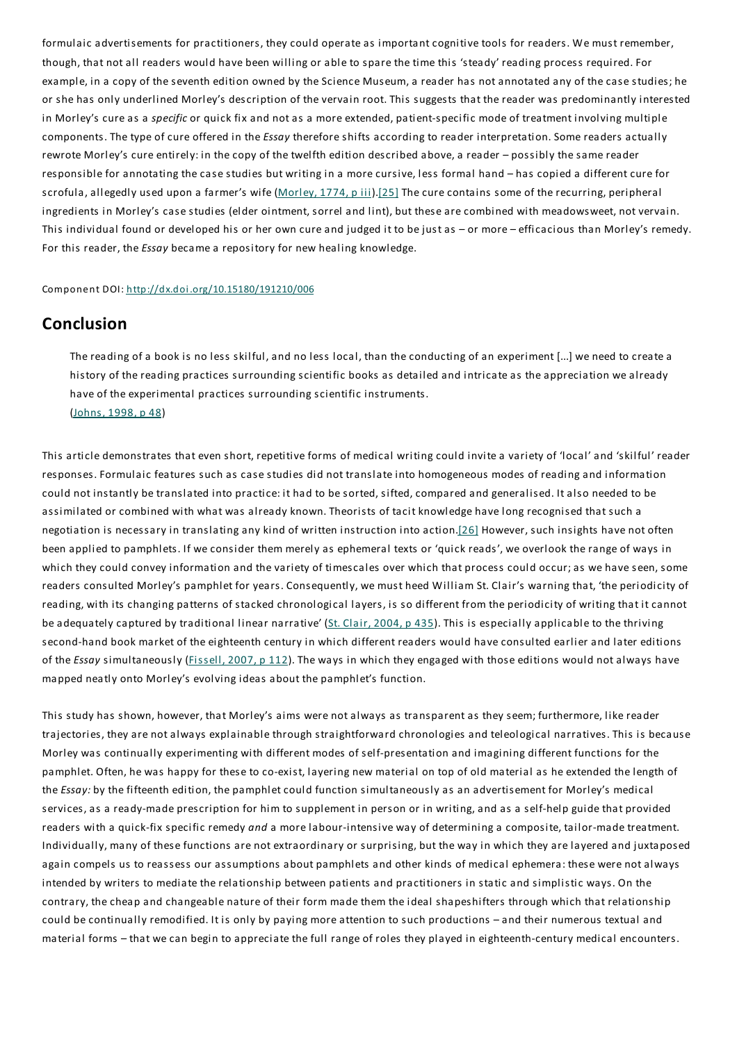formulaic advertisements for practitioners, they could operate as important cognitive tools for readers. We must remember, though, that not all readers would have been willing or able to spare the time this 'steady' reading process required. For example, in a copy of the seventh edition owned by the Science Museum, a reader has not annotated any of the case studies; he or she has only underlined Morley's description of the vervain root.This suggests that the reader was predominantly interested in Morley's cure as a *specific* or quick fix and not as a more extended, patient-specific mode of treatment involving multiple components.The type of cure offered in the *Essay* therefore shifts according to reader interpretation. Some readers actually rewrote Morley's cure entirely: in the copy of the twelfth edition described above, a reader – possibly the same reader responsible for annotating the case studies but writing in a more cursive, less formal hand – has copied a different cure for scrofula, allegedly used upon a farmer's wife (Morley, 1774, piii).[25] The cure contains some of the recurring, peripheral ingredients in Morley's case studies (elder ointment, sorrel and lint), but these are combined with meadowsweet, not vervain. This individual found or developed his or her own cure and judged it to be just as – or more – efficacious than Morley's remedy. For this reader, the *Essay* became a repository for new healing knowledge.

Component DOI: http://dx.doi.org/10.15180/191210/006

## **Conclusion**

The reading of a book is no less skilful, and no less local, than the conducting of an experiment [...] we need to create a history of the reading practices surrounding scientific books as detailed and intricate as the appreciation we already have of the experimental practices surrounding scientific instruments. (Johns, 1998, p 48)

This article demonstrates that even short, repetitive forms of medical writing could invite a variety of 'local' and 'skilful' reader responses. Formulaic features such as case studies did not translate into homogeneous modes of reading and information could not instantly be translated into practice: it had to be sorted, sifted, compared and generalised. It also needed to be assimilated or combined with what was already known.Theorists of tacit knowledge have long recognised that such a negotiation is necessary in translating any kind of written instruction into action.[26] However, such insights have not often been applied to pamphlets. If we consider them merely as ephemeral texts or 'quick reads', we overlook the range of ways in which they could convey information and the variety of timescales over which that process could occur;as we have seen, some readers consulted Morley's pamphlet for years. Consequently, we must heed William St. Clair's warning that, 'the periodicity of reading, with its changing patterns of stacked chronological layers, is so different from the periodicity of writing that it cannot be adequately captured by traditional linear narrative' (St. Clair, 2004, p 435). This is especially applicable to the thriving second-hand book market of the eighteenth century in which different readers would have consulted earlier and later editions of the *Essay* simultaneously (*Fissell, 2007, p 112*). The ways in which they engaged with those editions would not always have mapped neatly onto Morley's evolving ideas about the pamphlet's function.

This study has shown, however, that Morley's aims were not always as transparent as they seem; furthermore, like reader trajectories, they are not always explainable through straightforward chronologies and teleological narratives.This is because Morley was continually experimenting with different modes of self-presentation and imagining different functions for the pamphlet. Often, he was happy for these to co-exist, layering new material on top of old material as he extended the length of the *Essay:* by the fifteenth edition, the pamphlet could function simultaneously as an advertisement for Morley's medical services, as a ready-made prescription for him to supplement in person or in writing, and as a self-help guide that provided readers with a quick-fix specific remedy *and* a more labour-intensive way of determining a composite, tailor-made treatment. Individually, many of these functions are not extraordinary or surprising, but the way in which they are layered and juxtaposed again compels us to reassess our assumptions about pamphlets and other kinds of medical ephemera: these were not always intended by writers to mediate the relationship between patients and practitioners in static and simplistic ways. On the contrary, the cheap and changeable nature of their form made them the ideal shapeshifters through which that relationship could be continually remodified. It is only by paying more attention to such productions – and their numerous textual and material forms – that we can begin to appreciate the full range of roles they played in eighteenth-century medical encounters.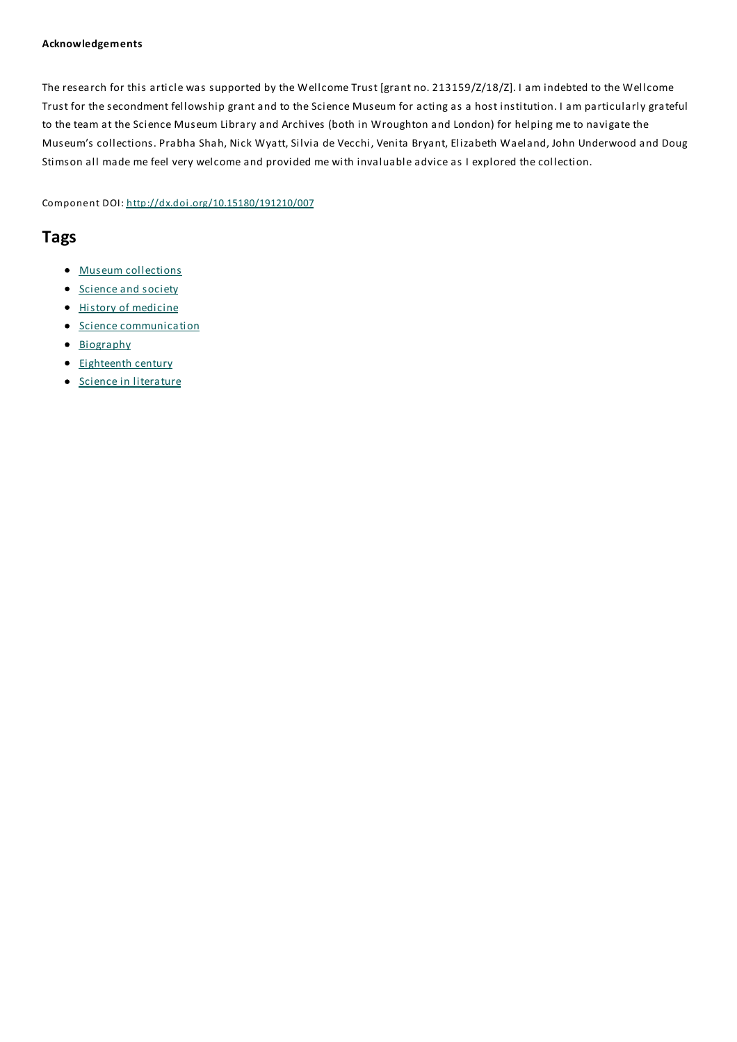#### **Acknowledgements**

The research for this article was supported by the Wellcome Trust [grant no. 213159/Z/18/Z]. I am indebted to the Wellcome Trust for the secondment fellowship grant and to the Science Museum for acting as a host institution. I am particularly grateful to the team at the Science Museum Library and Archives (both in Wroughton and London) for helping me to navigate the Museum's collections. Prabha Shah, Nick Wyatt, Silvia de Vecchi, Venita Bryant, Elizabeth Waeland, John Underwood and Doug Stimson all made me feel very welcome and provided me with invaluable advice as I explored the collection.

Component DOI: http://dx.doi.org/10.15180/191210/007

## **Tags**

- Museum collections
- Science and society
- History of medicine
- **•** Science communication
- Biography
- Eighteenth century
- **Science in literature**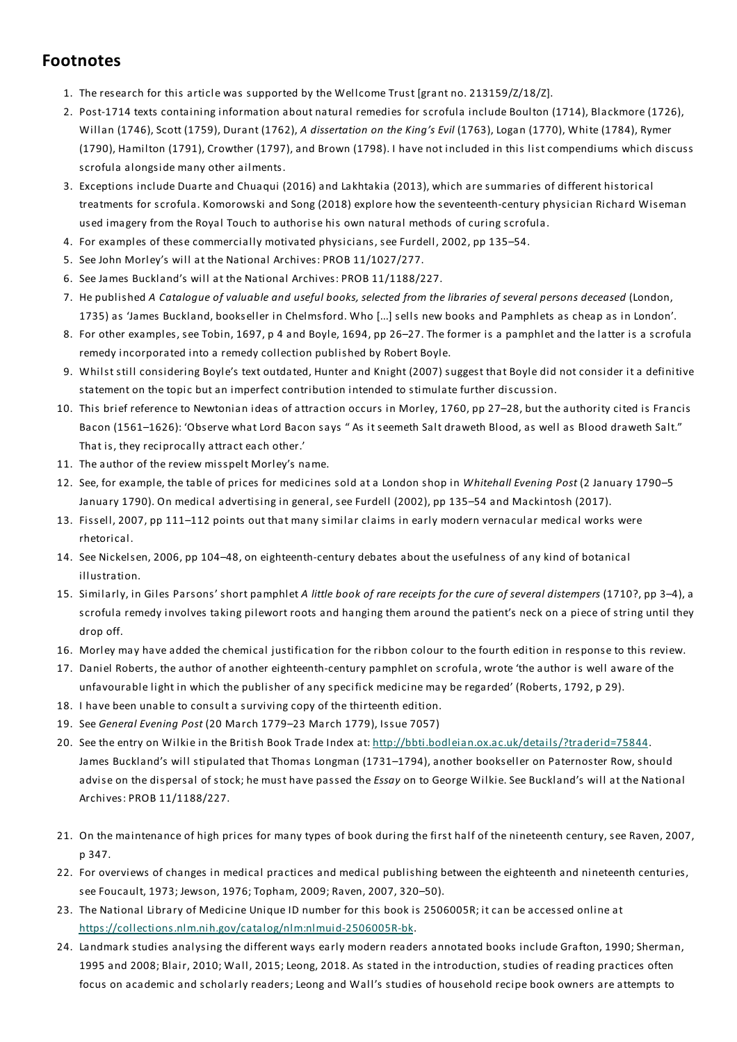## **Footnotes**

- 1. The research for this article was supported by the Wellcome Trust [grant no. 213159/Z/18/Z].
- 2. Post-1714 texts containing information about natural remedies for scrofula include Boulton (1714), Blackmore (1726), Willan (1746), Scott (1759), Durant (1762), *A dissertation on the King's Evil* (1763), Logan (1770), White (1784), Rymer (1790), Hamilton (1791), Crowther (1797), and Brown (1798). I have not included in this list compendiums which discuss scrofula alongside many other ailments.
- 3. Exceptions include Duarte and Chuaqui (2016) and Lakhtakia (2013), which are summaries of different historical treatments for scrofula. Komorowski and Song (2018) explore how the seventeenth-century physician Richard Wiseman used imagery from the Royal Touch to authorise his own natural methods of curing scrofula.
- 4. For examples of these commercially motivated physicians, see Furdell, 2002, pp 135–54.
- 5. See John Morley's will at the National Archives: PROB 11/1027/277.
- 6. See James Buckland's will at the National Archives: PROB 11/1188/227.
- 7. He published A Cataloque of valuable and useful books, selected from the libraries of several persons deceased (London, 1735) as 'James Buckland, bookseller in Chelmsford. Who [...] sells new books and Pamphlets as cheap as in London'.
- 8. For other examples, see Tobin, 1697, p 4 and Boyle, 1694, pp 26–27.The former is a pamphlet and the latter is a scrofula remedy incorporated into a remedy collection published by Robert Boyle.
- 9. Whilst still considering Boyle's text outdated, Hunter and Knight (2007) suggest that Boyle did not consider it a definitive statement on the topic but an imperfect contribution intended to stimulate further discussion.
- 10. This brief reference to Newtonian ideas of attraction occurs in Morley, 1760, pp 27–28, but the authority cited is Francis Bacon (1561–1626): 'Observe what Lord Bacon says " As it seemeth Salt draweth Blood, as well as Blood draweth Salt." That is, they reciprocally attract each other.'
- 11. The author of the review misspelt Morley's name.
- 12. See, for example, the table of prices for medicines sold at a London shop in *Whitehall Evening Post* (2 January 1790–5 January 1790). On medical advertising in general, see Furdell (2002), pp 135–54 and Mackintosh (2017).
- 13. Fissell, 2007, pp 111–112 points out that many similar claims in early modern vernacular medical works were rhetorical.
- 14. See Nickelsen, 2006, pp 104–48, on eighteenth-century debates about the usefulness of any kind of botanical illustration.
- 15. Similarly, in Giles Parsons' short pamphlet *A little book of rare receipts for the cure of several distempers* (1710?, pp 3–4), a scrofula remedy involves taking pilewort roots and hanging them around the patient's neck on a piece of string until they drop off.
- 16. Morley may have added the chemical justification for the ribbon colour to the fourth edition in response to this review.
- 17. Daniel Roberts, the author of another eighteenth-century pamphlet on scrofula, wrote 'the author is well aware of the unfavourable light in which the publisher of any specifick medicine may be regarded' (Roberts, 1792, p 29).
- 18. I have been unable to consult a surviving copy of the thirteenth edition.
- 19. See *General Evening Post* (20 March 1779–23 March 1779), Issue 7057)
- 20. See the entry on Wilkie in the British Book Trade Index at: http://bbti.bodleian.ox.ac.uk/details/?traderid=75844. James Buckland's will stipulated thatThomas Longman (1731–1794), another bookseller on Paternoster Row, should advise on the dispersal of stock; he must have passed the *Essay* on to George Wilkie. See Buckland's will at the National Archives: PROB 11/1188/227.
- 21. On the maintenance of high prices for many types of book during the first half of the nineteenth century, see Raven, 2007, p 347.
- 22. For overviews of changes in medical practices and medical publishing between the eighteenth and nineteenth centuries, see Foucault, 1973; Jewson, 1976;Topham, 2009; Raven, 2007, 320–50).
- 23. The National Library of Medicine Unique ID number for this book is 2506005R; it can be accessed online at https://collections.nlm.nih.gov/catalog/nlm:nlmuid-2506005R-bk.
- 24. Landmark studies analysing the different ways early modern readers annotated books include Grafton, 1990; Sherman, 1995 and 2008; Blair, 2010; Wall, 2015; Leong, 2018. As stated in the introduction, studies of reading practices often focus on academic and scholarly readers; Leong and Wall's studies of household recipe book owners are attempts to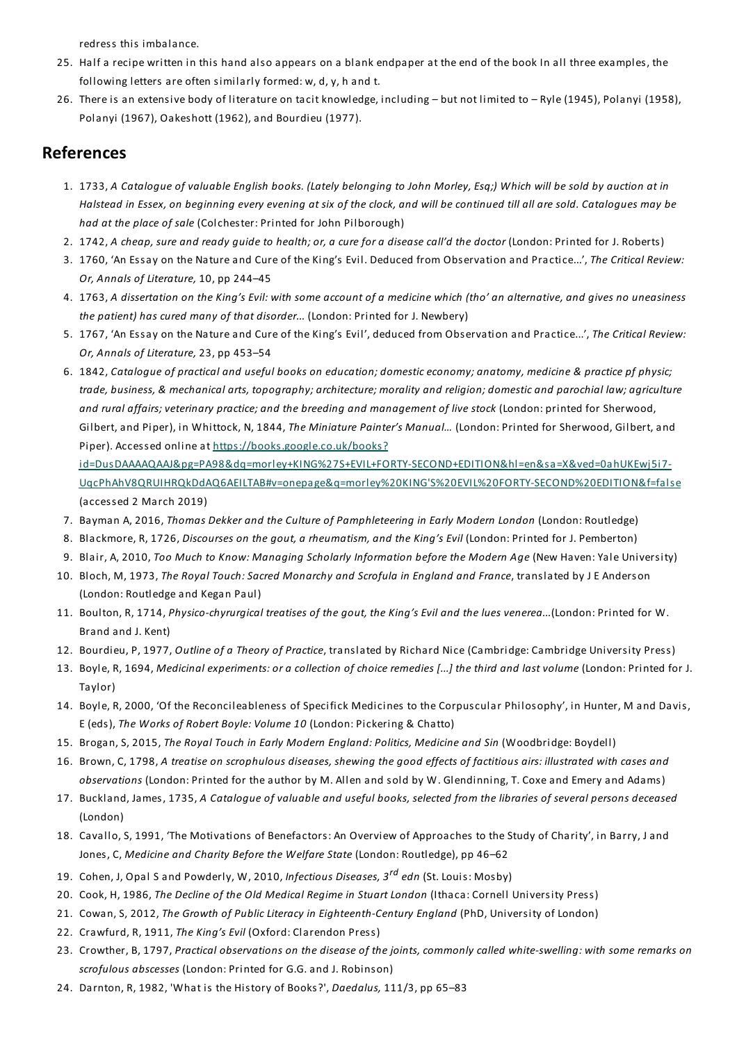redress this imbalance.

- 25. Half a recipe written in this hand also appears on a blank endpaper at the end of the book In all three examples, the following letters are often similarly formed: w, d, y, h and t.
- 26. There is an extensive body of literature on tacit knowledge, including but not limited to Ryle (1945), Polanyi (1958), Polanyi (1967), Oakeshott (1962), and Bourdieu (1977).

## **References**

- 1. 1733, A Catalogue of valuable English books. (Lately belonging to John Morley, Esg;) Which will be sold by auction at in Halstead in Essex, on beginning every evening at six of the clock, and will be continued till all are sold. Catalogues may be *had at the place of sale* (Colchester: Printed for John Pilborough)
- 2. 1742, A cheap, sure and ready guide to health; or, a cure for a disease call'd the doctor (London: Printed for J. Roberts)
- 3. 1760, 'An Essay on the Nature and Cure of the King's Evil. Deduced from Observation and Practice...',*The Critical Review: Or, Annals of Literature,* 10, pp 244–45
- 4. 1763, A dissertation on the King's Evil: with some account of a medicine which (tho' an alternative, and gives no uneasiness *the patient) has cured many of that disorder...* (London: Printed for J. Newbery)
- 5. 1767, 'An Essay on the Nature and Cure of the King's Evil', deduced from Observation and Practice...',*The Critical Review: Or, Annals of Literature,* 23, pp 453–54
- 6. 1842, Cataloque of practical and useful books on education; domestic economy; anatomy, medicine & practice pf physic; trade, business, & mechanical arts, topography; architecture; morality and religion; domestic and parochial law; agriculture *and rural affairs; veterinary practice; and the breeding and management of live stock* (London: printed for Sherwood, Gilbert, and Piper), in Whittock, N, 1844,*The Miniature Painter's Manual…* (London: Printed for Sherwood, Gilbert, and Piper). Accessed online at https://books.google.co.uk/books?

id=DusDAAAAQAAJ&pg=PA98&dq=morley+KING%27S+EVIL+FORTY-SECOND+EDITION&hl=en&sa=X&ved=0ahUKEwj5i7-UqcPhAhV8QRUIHRQkDdAQ6AEILTAB#v=onepage&q=morley%20KING'S%20EVIL%20FORTY-SECOND%20EDITION&f=false (accessed 2 March 2019)

- 7. Bayman A, 2016,*Thomas Dekker and the Culture of Pamphleteering in Early Modern London* (London: Routledge)
- 8. Blackmore, R, 1726, *Discourses on the gout, a rheumatism, and the King's Evil* (London: Printed for J. Pemberton)
- 9. Blair, A, 2010,*Too Much to Know: Managing Scholarly Information before the Modern Age* (New Haven:Yale University)
- 10. Bloch, M, 1973,*The Royal Touch:Sacred Monarchy and Scrofula in England and France*, translated by J E Anderson (London: Routledge and Kegan Paul)
- 11. Boulton, R, 1714, *Physico-chyrurgical treatises of the gout, the King's Evil and the lues venerea...*(London: Printed for W. Brand and J. Kent)
- 12. Bourdieu, P, 1977, *Outline of a Theory of Practice*, translated by Richard Nice (Cambridge: Cambridge University Press)
- 13. Boyle, R, 1694, Medicinal experiments: or a collection of choice remedies [...] the third and last volume (London: Printed for J. Taylor)
- 14. Boyle, R, 2000, 'Of the Reconcileableness of Specifick Medicines to the Corpuscular Philosophy', in Hunter, M and Davis, E (eds),*The Works of Robert Boyle: Volume 10* (London: Pickering & Chatto)
- 15. Brogan, S, 2015,*The Royal Touch in Early Modern England: Politics, Medicine and Sin* (Woodbridge: Boydell)
- 16. Brown, C, 1798, A treatise on scrophulous diseases, shewing the good effects of factitious airs: illustrated with cases and *observations* (London: Printed for the author by M. Allen and sold by W. Glendinning,T. Coxe and Emery and Adams)
- 17. Buckland, James, 1735, A Catalogue of valuable and useful books, selected from the libraries of several persons deceased (London)
- 18. Cavallo, S, 1991, 'The Motivations of Benefactors: An Overview of Approaches to the Study of Charity', in Barry, J and Jones, C, *Medicine and Charity Before the Welfare State* (London: Routledge), pp 46–62
- 19. Cohen, J, Opal S and Powderly, W, 2010, *Infectious Diseases, 3 rd edn* (St. Louis: Mosby)
- 20. Cook, H, 1986,*The Decline of the Old Medical Regime in Stuart London* (Ithaca: Cornell University Press)
- 21. Cowan, S, 2012,*The Growth of Public Literacy in Eighteenth-Century England* (PhD, University of London)
- 22. Crawfurd, R, 1911,*The King's Evil* (Oxford: Clarendon Press)
- 23. Crowther, B, 1797, Practical observations on the disease of the joints, commonly called white-swelling: with some remarks on *scrofulous abscesses* (London: Printed for G.G. and J. Robinson)
- 24. Darnton, R, 1982, 'What is the History of Books?', *Daedalus,* 111/3, pp 65–83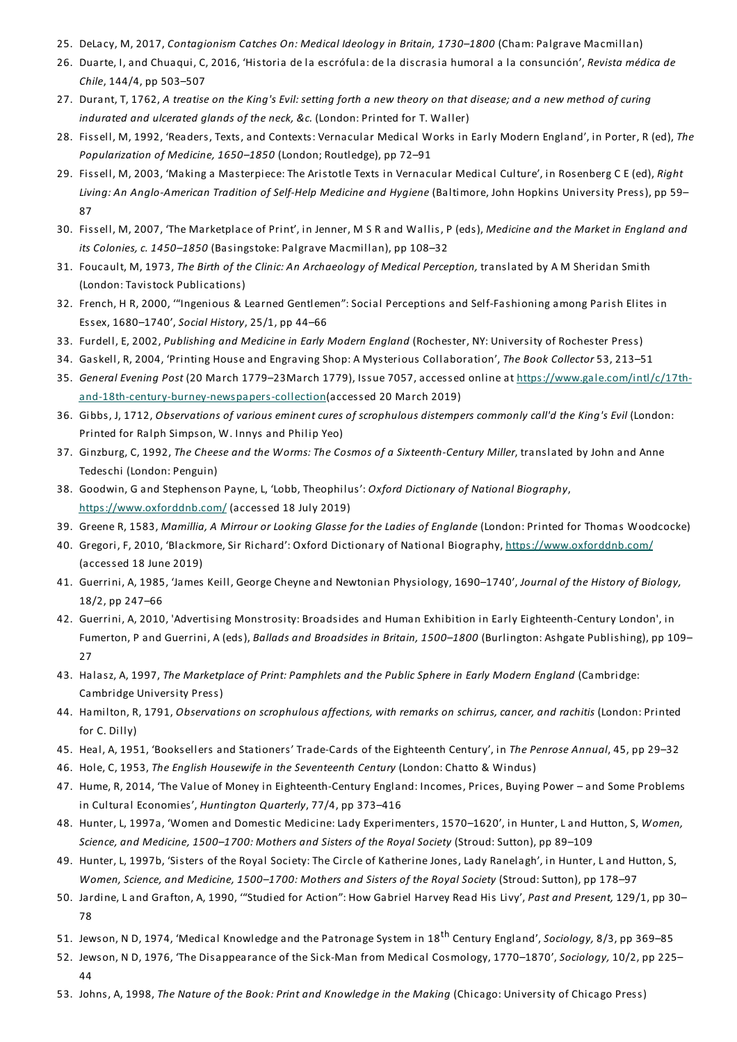- 25. DeLacy, M, 2017, *Contagionism Catches On: Medical Ideology in Britain, 1730–1800* (Cham: Palgrave Macmillan)
- 26. Duarte, I, and Chuaqui, C, 2016, 'Historia de la escrófula: de la discrasia humoral a la consunción', *Revista médica de Chile*, 144/4, pp 503–507
- 27. Durant, T, 1762, A treatise on the King's Evil: setting forth a new theory on that disease; and a new method of curing *indurated and ulcerated glands of the neck, &c.* (London: Printed for T. Waller)
- 28. Fissell, M, 1992, 'Readers,Texts, and Contexts: Vernacular Medical Works in Early Modern England', in Porter, R (ed),*The Popularization of Medicine, 1650–1850* (London; Routledge), pp 72–91
- 29. Fissell, M, 2003, 'Making a Masterpiece:The Aristotle Texts in Vernacular Medical Culture', in Rosenberg C E (ed), *Right Living: An Anglo-American Tradition of Self-Help Medicine and Hygiene* (Baltimore, John Hopkins University Press), pp 59– 87
- 30. Fissell, M, 2007, 'The Marketplace of Print', in Jenner, M S R and Wallis, P (eds), *Medicine and the Market in England and its Colonies, c. 1450–1850* (Basingstoke: Palgrave Macmillan), pp 108–32
- 31. Foucault, M, 1973,*The Birth of the Clinic: An Archaeology of Medical Perception,* translated by A M Sheridan Smith (London:Tavistock Publications)
- 32. French, H R, 2000, '"Ingenious & Learned Gentlemen":Social Perceptions and Self-Fashioning among Parish Elites in Essex, 1680–1740', *Social History*, 25/1, pp 44–66
- 33. Furdell,E, 2002, *Publishing and Medicine in Early Modern England* (Rochester, NY: University of Rochester Press)
- 34. Gaskell, R, 2004, 'Printing House and Engraving Shop: A Mysterious Collaboration',*The Book Collector* 53, 213–51
- 35. *General Evening Post* (20 March 1779–23March 1779), Issue 7057, accessed online at https://www.gale.com/intl/c/17thand-18th-century-burney-newspapers-collection(accessed 20 March 2019)
- 36. Gibbs, J, 1712, *Observations of various eminent cures of scrophulous distempers commonly call'd the King's Evil* (London: Printed for Ralph Simpson, W. Innys and Philip Yeo)
- 37. Ginzburg, C, 1992,*The Cheese and the Worms:The Cosmos of a Sixteenth-Century Miller*, translated by John and Anne Tedeschi (London: Penguin)
- 38. Goodwin, G and Stephenson Payne, L, 'Lobb,Theophilus': *Oxford Dictionary of National Biography*, https://www.oxforddnb.com/ (accessed 18 July 2019)
- 39. Greene R, 1583, *Mamillia, A Mirrour or Looking Glasse for the Ladies of Englande* (London: Printed for Thomas Woodcocke)
- 40. Gregori, F, 2010, 'Blackmore, Sir Richard': Oxford Dictionary of National Biography, https://www.oxforddnb.com/ (accessed 18 June 2019)
- 41. Guerrini, A, 1985, 'James Keill, George Cheyne and Newtonian Physiology, 1690–1740', *Journal of the History of Biology,* 18/2, pp 247–66
- 42. Guerrini, A, 2010, 'Advertising Monstrosity: Broadsides and Human Exhibition in Early Eighteenth-Century London', in Fumerton, P and Guerrini, A (eds), *Ballads and Broadsides in Britain, 1500–1800* (Burlington: Ashgate Publishing), pp 109– 27
- 43. Halasz, A, 1997,*The Marketplace of Print: Pamphlets and the Public Sphere in Early Modern England* (Cambridge: Cambridge University Press)
- 44. Hamilton, R, 1791, *Observations on scrophulous affections, with remarks on schirrus, cancer, and rachitis* (London: Printed for C. Dilly)
- 45. Heal, A, 1951, 'Booksellers and Stationers'Trade-Cards of the Eighteenth Century', in *The Penrose Annual*, 45, pp 29–32
- 46. Hole, C, 1953,*The English Housewife in the Seventeenth Century* (London: Chatto & Windus)
- 47. Hume, R, 2014, 'The Value of Money in Eighteenth-Century England: Incomes, Prices, Buying Power and Some Problems in Cultural Economies', *Huntington Quarterly*, 77/4, pp 373–416
- 48. Hunter, L, 1997a, 'Women and Domestic Medicine: Lady Experimenters, 1570–1620', in Hunter, Land Hutton, S, *Women, Science, and Medicine, 1500–1700: Mothers and Sisters of the Royal Society* (Stroud:Sutton), pp 89–109
- 49. Hunter, L, 1997b, 'Sisters of the Royal Society:The Circle of Katherine Jones, Lady Ranelagh', in Hunter, Land Hutton, S, *Women, Science, and Medicine, 1500–1700: Mothers and Sisters of the Royal Society* (Stroud:Sutton), pp 178–97
- 50. Jardine, Land Grafton, A, 1990, '"Studied for Action": How Gabriel Harvey Read His Livy', *Past and Present,* 129/1, pp 30– 78
- 51. Jewson, N D, 1974, 'Medical Knowledge and the Patronage System in 18 th Century England', *Sociology,* 8/3, pp 369–85
- 52. Jewson, N D, 1976, 'The Disappearance of the Sick-Man from Medical Cosmology, 1770–1870', *Sociology,* 10/2, pp 225– 44
- 53. Johns, A, 1998,*The Nature of the Book: Print and Knowledge in the Making* (Chicago: University of Chicago Press)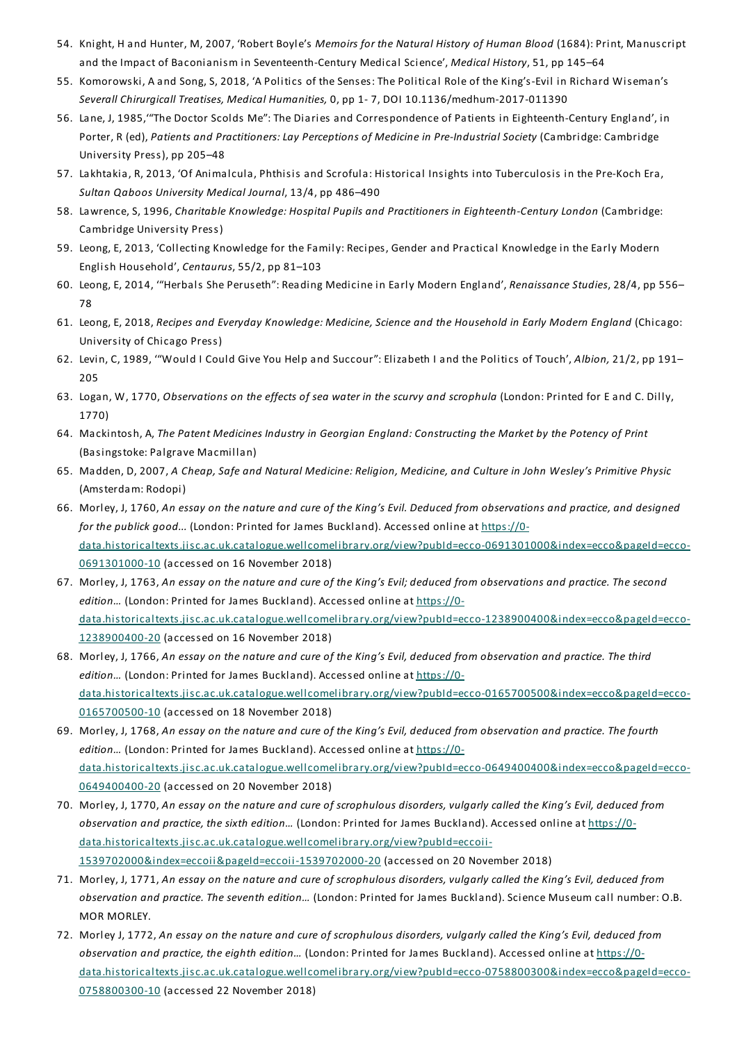- 54. Knight, H and Hunter, M, 2007, 'Robert Boyle's *Memoirs for the Natural History of Human Blood* (1684): Print, Manuscript and the Impact of Baconianism in Seventeenth-Century Medical Science', *Medical History*, 51, pp 145–64
- 55. Komorowski, A and Song, S, 2018, 'A Politics of the Senses:The Political Role of the King's-Evil in Richard Wiseman's *Severall Chirurgicall Treatises, Medical Humanities,* 0, pp 1- 7, DOI 10.1136/medhum-2017-011390
- 56. Lane, J, 1985,'"The Doctor Scolds Me":The Diaries and Correspondence of Patients in Eighteenth-Century England', in Porter, R (ed), *Patients and Practitioners: Lay Perceptions of Medicine in Pre-Industrial Society* (Cambridge: Cambridge University Press), pp 205–48
- 57. Lakhtakia, R, 2013, 'Of Animalcula, Phthisis and Scrofula: Historical Insights into Tuberculosis in the Pre-Koch Era, *Sultan Qaboos University Medical Journal*, 13/4, pp 486–490
- 58. Lawrence, S, 1996, *Charitable Knowledge: Hospital Pupils and Practitioners in Eighteenth-Century London* (Cambridge: Cambridge University Press)
- 59. Leong,E, 2013, 'Collecting Knowledge for the Family: Recipes, Gender and Practical Knowledge in the Early Modern English Household', *Centaurus*, 55/2, pp 81–103
- 60. Leong,E, 2014, '"Herbals She Peruseth": Reading Medicine in Early Modern England', *Renaissance Studies*, 28/4, pp 556– 78
- 61. Leong,E, 2018, *Recipes and Everyday Knowledge: Medicine, Science and the Household in Early Modern England* (Chicago: University of Chicago Press)
- 62. Levin, C, 1989, '"Would I Could Give You Help and Succour":Elizabeth I and the Politics of Touch', *Albion,* 21/2, pp 191– 205
- 63. Logan, W, 1770, *Observations on the effects of sea water in the scurvy and scrophula* (London: Printed for E and C. Dilly, 1770)
- 64. Mackintosh, A,*The Patent Medicines Industry in Georgian England: Constructing the Market by the Potency of Print* (Basingstoke: Palgrave Macmillan)
- 65. Madden, D, 2007, A Cheap, Safe and Natural Medicine: Religion, Medicine, and Culture in John Wesley's Primitive Physic (Amsterdam: Rodopi)
- 66. Morley, J, 1760, An essay on the nature and cure of the King's Evil. Deduced from observations and practice, and designed *for the publick good...* (London: Printed for James Buckland). Accessed online at https://0 data.historicaltexts.jisc.ac.uk.catalogue.wellcomelibrary.org/view?pubId=ecco-0691301000&index=ecco&pageId=ecco-0691301000-10 (accessed on 16 November 2018)
- 67. Morley, J, 1763, An essay on the nature and cure of the King's Evil; deduced from observations and practice. The second edition... (London: Printed for James Buckland). Accessed online at https://0data.historicaltexts.jisc.ac.uk.catalogue.wellcomelibrary.org/view?pubId=ecco-1238900400&index=ecco&pageId=ecco-1238900400-20 (accessed on 16 November 2018)
- 68. Morley, J, 1766, An essay on the nature and cure of the King's Evil, deduced from observation and practice. The third edition... (London: Printed for James Buckland). Accessed online at https://0data.historicaltexts.jisc.ac.uk.catalogue.wellcomelibrary.org/view?pubId=ecco-0165700500&index=ecco&pageId=ecco-0165700500-10 (accessed on 18 November 2018)
- 69. Morley, J, 1768, An essay on the nature and cure of the King's Evil, deduced from observation and practice. The fourth edition... (London: Printed for James Buckland). Accessed online at https://0data.historicaltexts.jisc.ac.uk.catalogue.wellcomelibrary.org/view?pubId=ecco-0649400400&index=ecco&pageId=ecco-0649400400-20 (accessed on 20 November 2018)
- 70. Morley, J, 1770, An essay on the nature and cure of scrophulous disorders, vulgarly called the King's Evil, deduced from *observation and practice, the sixth edition…* (London: Printed for James Buckland). Accessed online at https://0 data.historicaltexts.jisc.ac.uk.catalogue.wellcomelibrary.org/view?pubId=eccoii-1539702000&index=eccoii&pageId=eccoii-1539702000-20 (accessed on 20 November 2018)
- 71. Morley, J, 1771, An essay on the nature and cure of scrophulous disorders, vulgarly called the King's Evil, deduced from *observation and practice.The seventh edition…* (London: Printed for James Buckland). Science Museum call number: O.B. MOR MORLEY.
- 72. Morley J, 1772, An essay on the nature and cure of scrophulous disorders, vulgarly called the King's Evil, deduced from *observation and practice, the eighth edition…* (London: Printed for James Buckland). Accessed online at https://0 data.historicaltexts.jisc.ac.uk.catalogue.wellcomelibrary.org/view?pubId=ecco-0758800300&index=ecco&pageId=ecco-0758800300-10 (accessed 22 November 2018)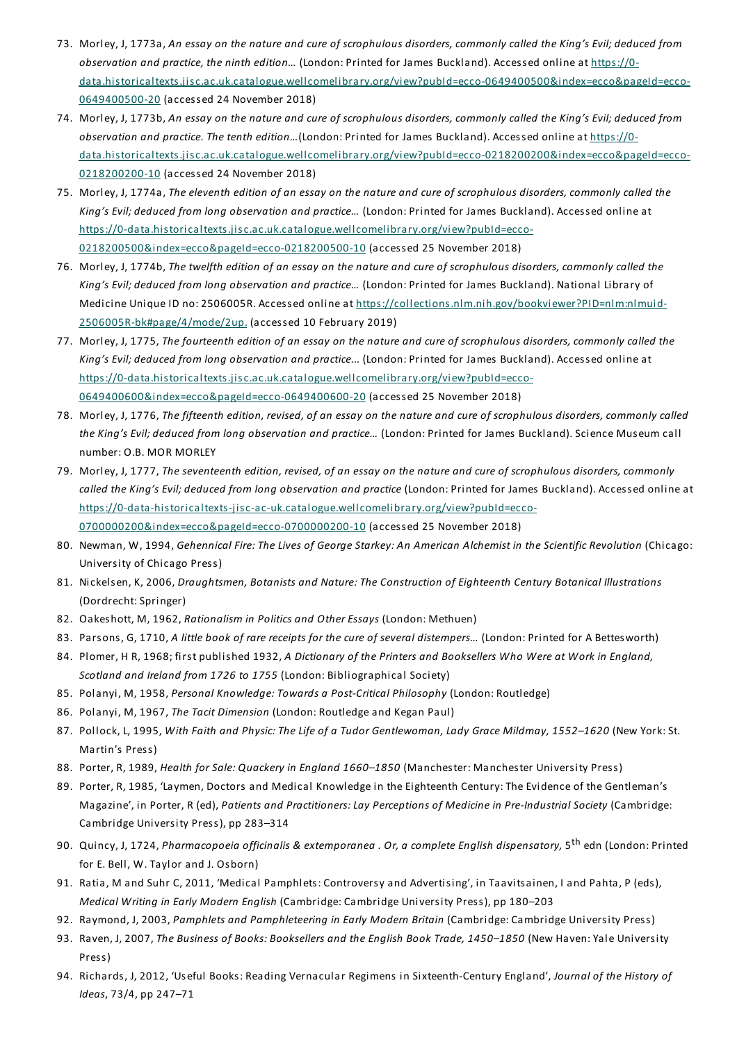- 73. Morley, J, 1773a, An essay on the nature and cure of scrophulous disorders, commonly called the King's Evil; deduced from *observation and practice, the ninth edition…* (London: Printed for James Buckland). Accessed online at https://0 data.historicaltexts.jisc.ac.uk.catalogue.wellcomelibrary.org/view?pubId=ecco-0649400500&index=ecco&pageId=ecco-0649400500-20 (accessed 24 November 2018)
- 74. Morley, J, 1773b, An essay on the nature and cure of scrophulous disorders, commonly called the King's Evil; deduced from *observation and practice.The tenth edition…*(London: Printed for James Buckland). Accessed online at https://0 data.historicaltexts.jisc.ac.uk.catalogue.wellcomelibrary.org/view?pubId=ecco-0218200200&index=ecco&pageId=ecco-0218200200-10 (accessed 24 November 2018)
- 75. Morley, J, 1774a, The eleventh edition of an essay on the nature and cure of scrophulous disorders, commonly called the *King's Evil; deduced from long observation and practice…* (London: Printed for James Buckland). Accessed online at https://0-data.historicaltexts.jisc.ac.uk.catalogue.wellcomelibrary.org/view?pubId=ecco-0218200500&index=ecco&pageId=ecco-0218200500-10 (accessed 25 November 2018)
- 76. Morley, J, 1774b, The twelfth edition of an essay on the nature and cure of scrophulous disorders, commonly called the *King's Evil; deduced from long observation and practice…* (London: Printed for James Buckland). National Library of Medicine Unique ID no: 2506005R. Accessed online at https://collections.nlm.nih.gov/bookviewer?PID=nlm:nlmuid-2506005R-bk#page/4/mode/2up. (accessed 10 February 2019)
- 77. Morley, J, 1775, The fourteenth edition of an essay on the nature and cure of scrophulous disorders, commonly called the *King's Evil; deduced from long observation and practice...* (London: Printed for James Buckland). Accessed online at https://0-data.historicaltexts.jisc.ac.uk.catalogue.wellcomelibrary.org/view?pubId=ecco-0649400600&index=ecco&pageId=ecco-0649400600-20 (accessed 25 November 2018)
- 78. Morley, J, 1776, The fifteenth edition, revised, of an essay on the nature and cure of scrophulous disorders, commonly called *the King's Evil; deduced from long observation and practice…* (London: Printed for James Buckland). Science Museum call number: O.B. MOR MORLEY
- 79. Morley, J, 1777, The seventeenth edition, revised, of an essay on the nature and cure of scrophulous disorders, commonly *called the King's Evil; deduced from long observation and practice* (London: Printed for James Buckland). Accessed online at https://0-data-historicaltexts-jisc-ac-uk.catalogue.wellcomelibrary.org/view?pubId=ecco-0700000200&index=ecco&pageId=ecco-0700000200-10 (accessed 25 November 2018)
- 80. Newman, W, 1994, *Gehennical Fire:The Lives of George Starkey: An American Alchemist in the Scientific Revolution* (Chicago: University of Chicago Press)
- 81. Nickelsen, K, 2006, *Draughtsmen, Botanists and Nature:The Construction of Eighteenth Century Botanical Illustrations* (Dordrecht: Springer)
- 82. Oakeshott, M, 1962, *Rationalism in Politics and OtherEssays* (London: Methuen)
- 83. Parsons, G, 1710, *A little book of rare receipts for the cure of several distempers…* (London: Printed for A Bettesworth)
- 84. Plomer, H R, 1968; first published 1932, *A Dictionary of the Printers and Booksellers Who Were at Work in England, Scotland and Ireland from 1726 to 1755* (London: Bibliographical Society)
- 85. Polanyi, M, 1958, *Personal Knowledge:Towards a Post-Critical Philosophy* (London: Routledge)
- 86. Polanyi, M, 1967,*The Tacit Dimension* (London: Routledge and Kegan Paul)
- 87. Pollock, L, 1995, *With Faith and Physic:The Life of a Tudor Gentlewoman, Lady Grace Mildmay, 1552–1620* (New York:St. Martin's Press)
- 88. Porter, R, 1989, *Health for Sale: Quackery in England 1660–1850* (Manchester: Manchester University Press)
- 89. Porter, R, 1985, 'Laymen, Doctors and Medical Knowledge in the Eighteenth Century:The Evidence of the Gentleman's Magazine', in Porter, R (ed), *Patients and Practitioners: Lay Perceptions of Medicine in Pre-Industrial Society* (Cambridge: Cambridge University Press), pp 283–314
- 90. Quincy, J, 1724, *Pharmacopoeia officinalis & extemporanea . Or, a complete English dispensatory,* 5 th edn (London: Printed for E. Bell, W.Taylor and J. Osborn)
- 91. Ratia, M and Suhr C, 2011, 'Medical Pamphlets: Controversy and Advertising', in Taavitsainen, I and Pahta, P (eds), *Medical Writing in Early Modern English* (Cambridge: Cambridge University Press), pp 180–203
- 92. Raymond, J, 2003, *Pamphlets and Pamphleteering in Early Modern Britain* (Cambridge: Cambridge University Press)
- 93. Raven, J, 2007,*The Business of Books: Booksellers and the English Book Trade, 1450–1850* (New Haven:Yale University Press)
- 94. Richards, J, 2012, 'Useful Books: Reading Vernacular Regimens in Sixteenth-Century England', *Journal of the History of Ideas*, 73/4, pp 247–71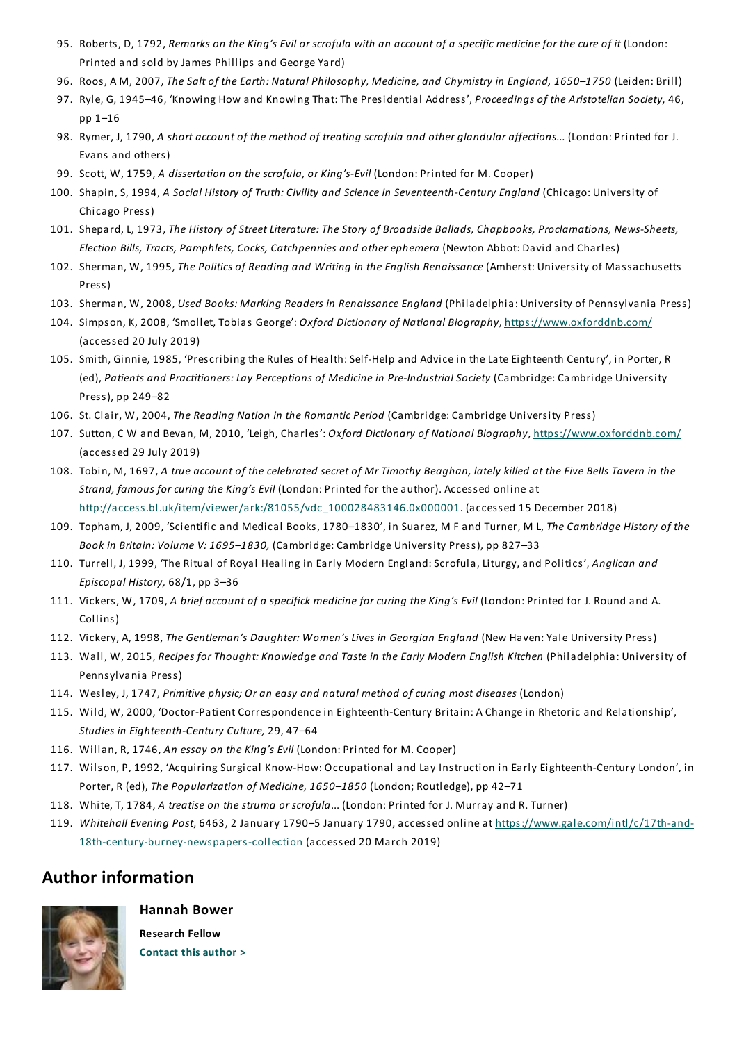- 95. Roberts, D, 1792, Remarks on the King's Evil or scrofula with an account of a specific medicine for the cure of it (London: Printed and sold by James Phillips and George Yard)
- 96. Roos, A M, 2007,*The Salt of the Earth: Natural Philosophy, Medicine, and Chymistry in England, 1650–1750* (Leiden: Brill)
- 97. Ryle, G, 1945–46, 'Knowing How and Knowing That:The Presidential Address', *Proceedings of the Aristotelian Society,* 46, pp 1–16
- 98. Rymer, J, 1790, *A short account of the method of treating scrofula and other glandular affections...* (London: Printed for J. Evans and others)
- 99. Scott, W, 1759, *A dissertation on the scrofula, or King's-Evil* (London: Printed for M. Cooper)
- 100. Shapin, S, 1994, *A Social History of Truth: Civility and Science in Seventeenth-Century England* (Chicago: University of Chicago Press)
- 101. Shepard, L, 1973,*The History of Street Literature:The Story of Broadside Ballads, Chapbooks, Proclamations, News-Sheets, Election Bills,Tracts, Pamphlets, Cocks, Catchpennies and otherephemera* (Newton Abbot: David and Charles)
- 102. Sherman, W, 1995,*The Politics of Reading and Writing in the English Renaissance* (Amherst: University of Massachusetts Press)
- 103. Sherman, W, 2008, *Used Books: Marking Readers in Renaissance England* (Philadelphia: University of Pennsylvania Press)
- 104. Simpson, K, 2008, 'Smollet,Tobias George': *Oxford Dictionary of National Biography*, https://www.oxforddnb.com/ (accessed 20 July 2019)
- 105. Smith, Ginnie, 1985, 'Prescribing the Rules of Health:Self-Help and Advice in the Late Eighteenth Century', in Porter, R (ed), *Patients and Practitioners: Lay Perceptions of Medicine in Pre-Industrial Society* (Cambridge: Cambridge University Press), pp 249–82
- 106. St. Clair, W, 2004,*The Reading Nation in the Romantic Period* (Cambridge: Cambridge University Press)
- 107. Sutton, C W and Bevan, M, 2010, 'Leigh, Charles': *Oxford Dictionary of National Biography*, https://www.oxforddnb.com/ (accessed 29 July 2019)
- 108. Tobin, M, 1697, A true account of the celebrated secret of Mr Timothy Beaghan, lately killed at the Five Bells Tavern in the *Strand, famous for curing the King's Evil* (London: Printed for the author). Accessed online at http://access.bl.uk/item/viewer/ark:/81055/vdc\_100028483146.0x000001. (accessed 15 December 2018)
- 109. Topham, J, 2009, 'Scientific and Medical Books, 1780–1830', in Suarez, M F and Turner, M L,*The Cambridge History of the Book in Britain: Volume V: 1695–1830,* (Cambridge: Cambridge University Press), pp 827–33
- 110. Turrell, J, 1999, 'The Ritual of Royal Healing in Early Modern England:Scrofula, Liturgy, and Politics', *Anglican and Episcopal History,* 68/1, pp 3–36
- 111. Vickers, W, 1709, *A brief account of a specifick medicine for curing the King's Evil* (London: Printed for J. Round and A. Collins)
- 112. Vickery, A, 1998,*The Gentleman's Daughter: Women's Lives in Georgian England* (New Haven:Yale University Press)
- 113. Wall, W, 2015, *Recipes forThought: Knowledge and Taste in the Early Modern English Kitchen* (Philadelphia: University of Pennsylvania Press)
- 114. Wesley, J, 1747, *Primitive physic; Or an easy and natural method of curing most diseases* (London)
- 115. Wild, W, 2000, 'Doctor-Patient Correspondence in Eighteenth-Century Britain: A Change in Rhetoric and Relationship', *Studies in Eighteenth-Century Culture,* 29, 47–64
- 116. Willan, R, 1746, *An essay on the King's Evil* (London: Printed for M. Cooper)
- 117. Wilson, P, 1992, 'Acquiring Surgical Know-How: Occupational and Lay Instruction in Early Eighteenth-Century London', in Porter, R (ed),*The Popularization of Medicine, 1650–1850* (London; Routledge), pp 42–71
- 118. White,T, 1784, *A treatise on the struma or scrofula*... (London: Printed for J. Murray and R.Turner)
- 119. *Whitehall Evening Post*, 6463, 2 January 1790–5 January 1790, accessed online at https://www.gale.com/intl/c/17th-and-18th-century-burney-newspapers-collection (accessed 20 March 2019)

## **Author information**



**Hannah Bower Research Fellow**

**Contact this author >**